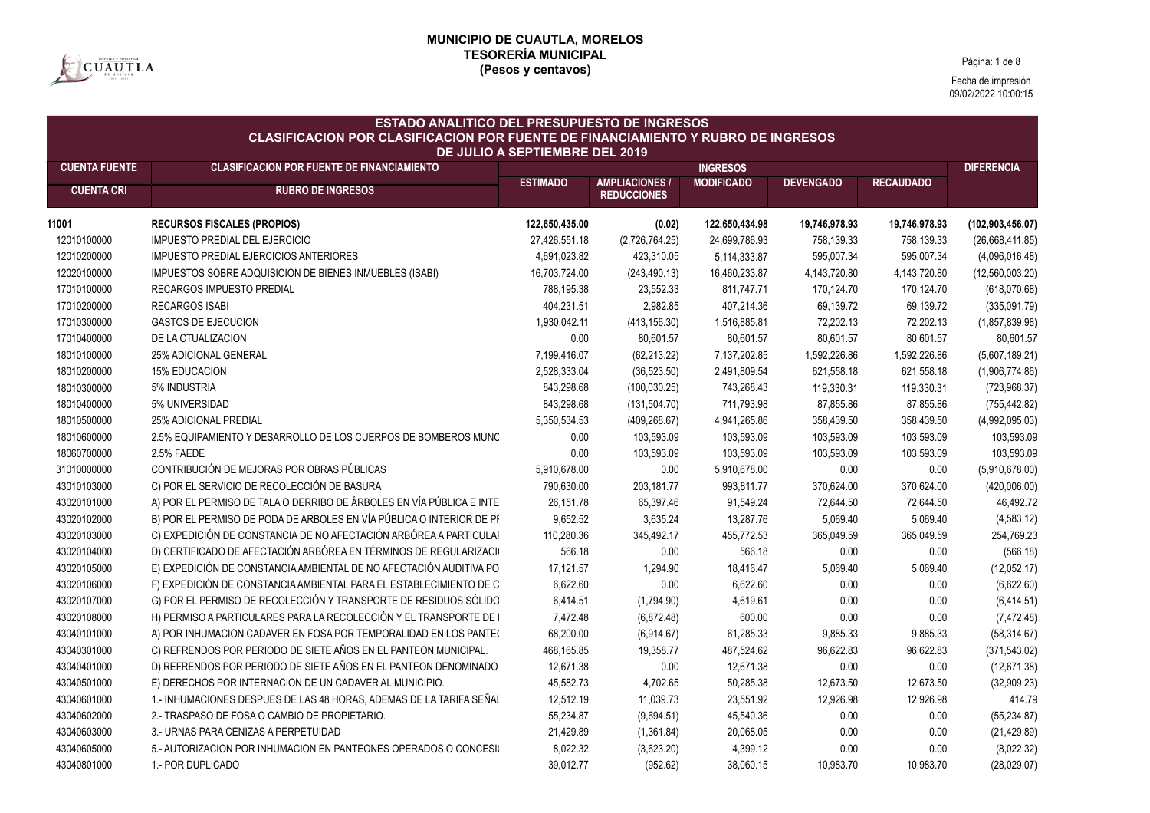

Página: 1 de 8

| <b>ESTADO ANALITICO DEL PRESUPUESTO DE INGRESOS</b><br><b>CLASIFICACION POR CLASIFICACION POR FUENTE DE FINANCIAMIENTO Y RUBRO DE INGRESOS</b><br>DE JULIO A SEPTIEMBRE DEL 2019 |                                                                      |                 |                                             |                   |                  |                  |                    |  |
|----------------------------------------------------------------------------------------------------------------------------------------------------------------------------------|----------------------------------------------------------------------|-----------------|---------------------------------------------|-------------------|------------------|------------------|--------------------|--|
| <b>CUENTA FUENTE</b>                                                                                                                                                             | <b>CLASIFICACION POR FUENTE DE FINANCIAMIENTO</b>                    |                 |                                             | <b>INGRESOS</b>   |                  |                  | <b>DIFERENCIA</b>  |  |
| <b>CUENTA CRI</b>                                                                                                                                                                | <b>RUBRO DE INGRESOS</b>                                             | <b>ESTIMADO</b> | <b>AMPLIACIONES /</b><br><b>REDUCCIONES</b> | <b>MODIFICADO</b> | <b>DEVENGADO</b> | <b>RECAUDADO</b> |                    |  |
| 11001                                                                                                                                                                            | <b>RECURSOS FISCALES (PROPIOS)</b>                                   | 122,650,435.00  | (0.02)                                      | 122,650,434.98    | 19,746,978.93    | 19,746,978.93    | (102, 903, 456.07) |  |
| 12010100000                                                                                                                                                                      | IMPUESTO PREDIAL DEL EJERCICIO                                       | 27,426,551.18   | (2,726,764.25)                              | 24,699,786.93     | 758,139.33       | 758,139.33       | (26,668,411.85)    |  |
| 12010200000                                                                                                                                                                      | <b>IMPUESTO PREDIAL EJERCICIOS ANTERIORES</b>                        | 4,691,023.82    | 423,310.05                                  | 5,114,333.87      | 595,007.34       | 595,007.34       | (4,096,016.48)     |  |
| 12020100000                                                                                                                                                                      | IMPUESTOS SOBRE ADQUISICION DE BIENES INMUEBLES (ISABI)              | 16,703,724.00   | (243, 490.13)                               | 16,460,233.87     | 4,143,720.80     | 4, 143, 720.80   | (12,560,003.20)    |  |
| 17010100000                                                                                                                                                                      | <b>RECARGOS IMPUESTO PREDIAL</b>                                     | 788,195.38      | 23,552.33                                   | 811,747.71        | 170,124.70       | 170,124.70       | (618,070.68)       |  |
| 17010200000                                                                                                                                                                      | <b>RECARGOS ISABI</b>                                                | 404,231.51      | 2,982.85                                    | 407,214.36        | 69,139.72        | 69,139.72        | (335,091.79)       |  |
| 17010300000                                                                                                                                                                      | <b>GASTOS DE EJECUCION</b>                                           | 1,930,042.11    | (413, 156.30)                               | 1,516,885.81      | 72,202.13        | 72,202.13        | (1,857,839.98)     |  |
| 17010400000                                                                                                                                                                      | DE LA CTUALIZACION                                                   | 0.00            | 80,601.57                                   | 80,601.57         | 80,601.57        | 80,601.57        | 80,601.57          |  |
| 18010100000                                                                                                                                                                      | 25% ADICIONAL GENERAL                                                | 7,199,416.07    | (62, 213.22)                                | 7,137,202.85      | 1,592,226.86     | 1,592,226.86     | (5,607,189.21)     |  |
| 18010200000                                                                                                                                                                      | <b>15% EDUCACION</b>                                                 | 2,528,333.04    | (36,523.50)                                 | 2,491,809.54      | 621,558.18       | 621,558.18       | (1,906,774.86)     |  |
| 18010300000                                                                                                                                                                      | 5% INDUSTRIA                                                         | 843,298.68      | (100, 030.25)                               | 743,268.43        | 119,330.31       | 119,330.31       | (723, 968.37)      |  |
| 18010400000                                                                                                                                                                      | 5% UNIVERSIDAD                                                       | 843,298.68      | (131, 504.70)                               | 711,793.98        | 87,855.86        | 87,855.86        | (755, 442.82)      |  |
| 18010500000                                                                                                                                                                      | <b>25% ADICIONAL PREDIAL</b>                                         | 5,350,534.53    | (409, 268.67)                               | 4,941,265.86      | 358,439.50       | 358,439.50       | (4,992,095.03)     |  |
| 18010600000                                                                                                                                                                      | 2.5% EQUIPAMIENTO Y DESARROLLO DE LOS CUERPOS DE BOMBEROS MUNC       | 0.00            | 103,593.09                                  | 103,593.09        | 103,593.09       | 103,593.09       | 103,593.09         |  |
| 18060700000                                                                                                                                                                      | 2.5% FAEDE                                                           | 0.00            | 103,593.09                                  | 103,593.09        | 103,593.09       | 103,593.09       | 103,593.09         |  |
| 31010000000                                                                                                                                                                      | CONTRIBUCIÓN DE MEJORAS POR OBRAS PÚBLICAS                           | 5,910,678.00    | 0.00                                        | 5,910,678.00      | 0.00             | 0.00             | (5,910,678.00)     |  |
| 43010103000                                                                                                                                                                      | C) POR EL SERVICIO DE RECOLECCIÓN DE BASURA                          | 790,630.00      | 203, 181.77                                 | 993,811.77        | 370,624.00       | 370,624.00       | (420,006.00)       |  |
| 43020101000                                                                                                                                                                      | A) POR EL PERMISO DE TALA O DERRIBO DE ÁRBOLES EN VÍA PÚBLICA E INTE | 26, 151.78      | 65,397.46                                   | 91,549.24         | 72,644.50        | 72,644.50        | 46,492.72          |  |
| 43020102000                                                                                                                                                                      | B) POR EL PERMISO DE PODA DE ARBOLES EN VÍA PÚBLICA O INTERIOR DE PI | 9,652.52        | 3,635.24                                    | 13,287.76         | 5,069.40         | 5,069.40         | (4,583.12)         |  |
| 43020103000                                                                                                                                                                      | C) EXPEDICIÓN DE CONSTANCIA DE NO AFECTACIÓN ARBÓREA A PARTICULAI    | 110,280.36      | 345,492.17                                  | 455,772.53        | 365,049.59       | 365,049.59       | 254,769.23         |  |
| 43020104000                                                                                                                                                                      | D) CERTIFICADO DE AFECTACIÓN ARBÓREA EN TÉRMINOS DE REGULARIZACIO    | 566.18          | 0.00                                        | 566.18            | 0.00             | 0.00             | (566.18)           |  |
| 43020105000                                                                                                                                                                      | E) EXPEDICIÓN DE CONSTANCIA AMBIENTAL DE NO AFECTACIÓN AUDITIVA PO   | 17,121.57       | 1,294.90                                    | 18,416.47         | 5,069.40         | 5,069.40         | (12,052.17)        |  |
| 43020106000                                                                                                                                                                      | F) EXPEDICIÓN DE CONSTANCIA AMBIENTAL PARA EL ESTABLECIMIENTO DE C   | 6,622.60        | 0.00                                        | 6,622.60          | 0.00             | 0.00             | (6,622.60)         |  |
| 43020107000                                                                                                                                                                      | G) POR EL PERMISO DE RECOLECCIÓN Y TRANSPORTE DE RESIDUOS SÓLIDO     | 6,414.51        | (1,794.90)                                  | 4,619.61          | 0.00             | 0.00             | (6,414.51)         |  |
| 43020108000                                                                                                                                                                      | H) PERMISO A PARTICULARES PARA LA RECOLECCIÓN Y EL TRANSPORTE DE     | 7,472.48        | (6,872.48)                                  | 600.00            | 0.00             | 0.00             | (7, 472.48)        |  |
| 43040101000                                                                                                                                                                      | A) POR INHUMACION CADAVER EN FOSA POR TEMPORALIDAD EN LOS PANTE(     | 68,200.00       | (6,914.67)                                  | 61,285.33         | 9,885.33         | 9,885.33         | (58, 314.67)       |  |
| 43040301000                                                                                                                                                                      | C) REFRENDOS POR PERIODO DE SIETE AÑOS EN EL PANTEON MUNICIPAL.      | 468,165.85      | 19,358.77                                   | 487,524.62        | 96,622.83        | 96,622.83        | (371, 543.02)      |  |
| 43040401000                                                                                                                                                                      | D) REFRENDOS POR PERIODO DE SIETE AÑOS EN EL PANTEON DENOMINADO      | 12,671.38       | 0.00                                        | 12,671.38         | 0.00             | 0.00             | (12,671.38)        |  |
| 43040501000                                                                                                                                                                      | E) DERECHOS POR INTERNACION DE UN CADAVER AL MUNICIPIO.              | 45,582.73       | 4,702.65                                    | 50,285.38         | 12,673.50        | 12,673.50        | (32,909.23)        |  |
| 43040601000                                                                                                                                                                      | 1 - INHUMACIONES DESPUES DE LAS 48 HORAS, ADEMAS DE LA TARIFA SEÑAI  | 12,512.19       | 11,039.73                                   | 23,551.92         | 12,926.98        | 12,926.98        | 414.79             |  |
| 43040602000                                                                                                                                                                      | 2.- TRASPASO DE FOSA O CAMBIO DE PROPIETARIO.                        | 55,234.87       | (9,694.51)                                  | 45,540.36         | 0.00             | 0.00             | (55, 234.87)       |  |
| 43040603000                                                                                                                                                                      | 3.- URNAS PARA CENIZAS A PERPETUIDAD                                 | 21,429.89       | (1,361.84)                                  | 20,068.05         | 0.00             | 0.00             | (21, 429.89)       |  |
| 43040605000                                                                                                                                                                      | 5.- AUTORIZACION POR INHUMACION EN PANTEONES OPERADOS O CONCESIO     | 8,022.32        | (3,623.20)                                  | 4,399.12          | 0.00             | 0.00             | (8,022.32)         |  |
| 43040801000                                                                                                                                                                      | 1.- POR DUPLICADO                                                    | 39,012.77       | (952.62)                                    | 38,060.15         | 10,983.70        | 10,983.70        | (28,029.07)        |  |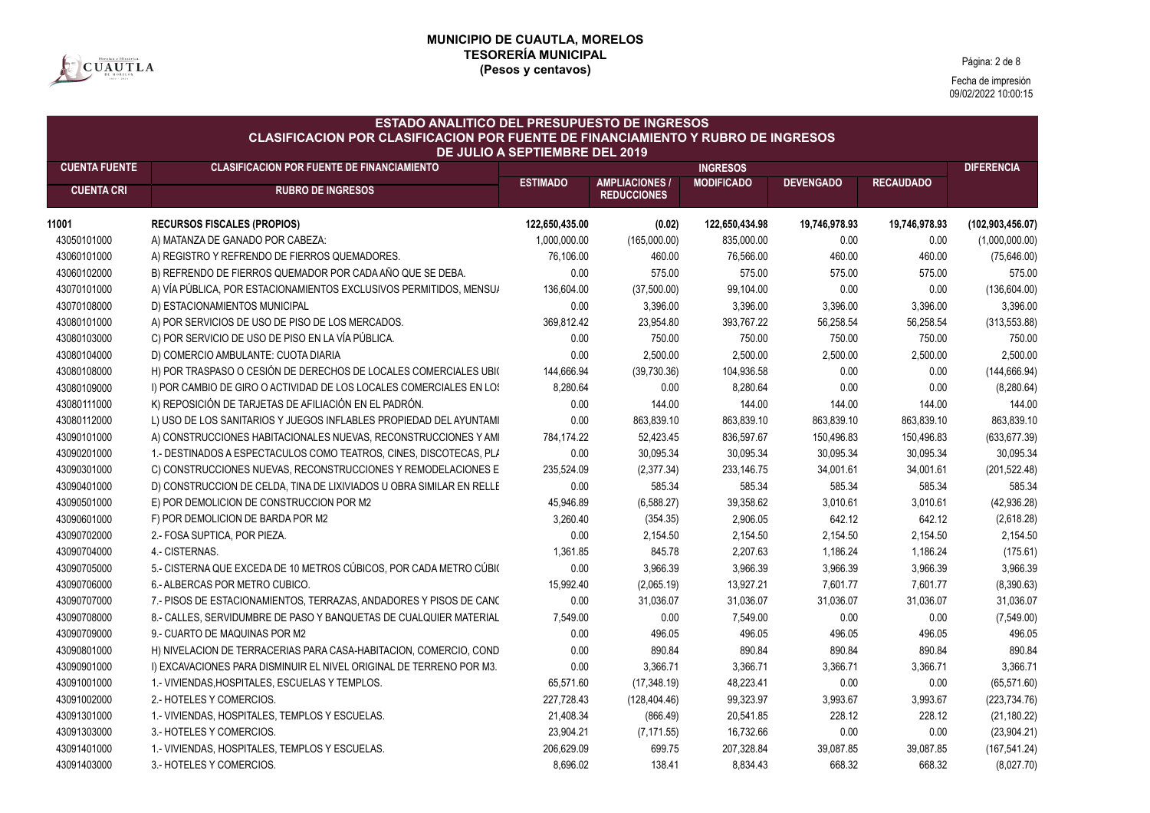

Página: 2 de 8

| <b>ESTADO ANALITICO DEL PRESUPUESTO DE INGRESOS</b><br><b>CLASIFICACION POR CLASIFICACION POR FUENTE DE FINANCIAMIENTO Y RUBRO DE INGRESOS</b><br><b>DE JULIO A SEPTIEMBRE DEL 2019</b> |                                                                      |                 |                                             |                   |                  |                  |                    |  |  |
|-----------------------------------------------------------------------------------------------------------------------------------------------------------------------------------------|----------------------------------------------------------------------|-----------------|---------------------------------------------|-------------------|------------------|------------------|--------------------|--|--|
| <b>CUENTA FUENTE</b>                                                                                                                                                                    | <b>CLASIFICACION POR FUENTE DE FINANCIAMIENTO</b>                    | <b>ESTIMADO</b> | <b>DIFERENCIA</b>                           |                   |                  |                  |                    |  |  |
| <b>CUENTA CRI</b>                                                                                                                                                                       | <b>RUBRO DE INGRESOS</b>                                             |                 | <b>AMPLIACIONES /</b><br><b>REDUCCIONES</b> | <b>MODIFICADO</b> | <b>DEVENGADO</b> | <b>RECAUDADO</b> |                    |  |  |
| 11001                                                                                                                                                                                   | <b>RECURSOS FISCALES (PROPIOS)</b>                                   | 122,650,435.00  | (0.02)                                      | 122,650,434.98    | 19,746,978.93    | 19,746,978.93    | (102, 903, 456.07) |  |  |
| 43050101000                                                                                                                                                                             | A) MATANZA DE GANADO POR CABEZA:                                     | 1,000,000.00    | (165,000.00)                                | 835,000.00        | 0.00             | 0.00             | (1,000,000.00)     |  |  |
| 43060101000                                                                                                                                                                             | A) REGISTRO Y REFRENDO DE FIERROS QUEMADORES.                        | 76,106.00       | 460.00                                      | 76,566.00         | 460.00           | 460.00           | (75, 646.00)       |  |  |
| 43060102000                                                                                                                                                                             | B) REFRENDO DE FIERROS QUEMADOR POR CADA AÑO QUE SE DEBA.            | 0.00            | 575.00                                      | 575.00            | 575.00           | 575.00           | 575.00             |  |  |
| 43070101000                                                                                                                                                                             | A) VÍA PÚBLICA, POR ESTACIONAMIENTOS EXCLUSIVOS PERMITIDOS, MENSUA   | 136,604.00      | (37,500.00)                                 | 99,104.00         | 0.00             | 0.00             | (136, 604.00)      |  |  |
| 43070108000                                                                                                                                                                             | D) ESTACIONAMIENTOS MUNICIPAL                                        | 0.00            | 3,396.00                                    | 3,396.00          | 3,396.00         | 3,396.00         | 3,396.00           |  |  |
| 43080101000                                                                                                                                                                             | A) POR SERVICIOS DE USO DE PISO DE LOS MERCADOS.                     | 369,812.42      | 23,954.80                                   | 393,767.22        | 56,258.54        | 56,258.54        | (313, 553.88)      |  |  |
| 43080103000                                                                                                                                                                             | C) POR SERVICIO DE USO DE PISO EN LA VÍA PÚBLICA.                    | 0.00            | 750.00                                      | 750.00            | 750.00           | 750.00           | 750.00             |  |  |
| 43080104000                                                                                                                                                                             | D) COMERCIO AMBULANTE: CUOTA DIARIA                                  | 0.00            | 2,500.00                                    | 2,500.00          | 2,500.00         | 2,500.00         | 2,500.00           |  |  |
| 43080108000                                                                                                                                                                             | H) POR TRASPASO O CESIÓN DE DERECHOS DE LOCALES COMERCIALES UBIO     | 144,666.94      | (39, 730.36)                                | 104,936.58        | 0.00             | 0.00             | (144, 666.94)      |  |  |
| 43080109000                                                                                                                                                                             | I) POR CAMBIO DE GIRO O ACTIVIDAD DE LOS LOCALES COMERCIALES EN LOS  | 8,280.64        | 0.00                                        | 8,280.64          | 0.00             | 0.00             | (8, 280.64)        |  |  |
| 43080111000                                                                                                                                                                             | K) REPOSICIÓN DE TARJETAS DE AFILIACIÓN EN EL PADRÓN.                | 0.00            | 144.00                                      | 144.00            | 144.00           | 144.00           | 144.00             |  |  |
| 43080112000                                                                                                                                                                             | L) USO DE LOS SANITARIOS Y JUEGOS INFLABLES PROPIEDAD DEL AYUNTAMI   | 0.00            | 863,839.10                                  | 863,839.10        | 863,839.10       | 863,839.10       | 863,839.10         |  |  |
| 43090101000                                                                                                                                                                             | A) CONSTRUCCIONES HABITACIONALES NUEVAS, RECONSTRUCCIONES Y AMI      | 784,174.22      | 52,423.45                                   | 836,597.67        | 150,496.83       | 150,496.83       | (633, 677.39)      |  |  |
| 43090201000                                                                                                                                                                             | 1.- DESTINADOS A ESPECTACULOS COMO TEATROS, CINES, DISCOTECAS, PLA   | 0.00            | 30,095.34                                   | 30,095.34         | 30,095.34        | 30,095.34        | 30,095.34          |  |  |
| 43090301000                                                                                                                                                                             | C) CONSTRUCCIONES NUEVAS, RECONSTRUCCIONES Y REMODELACIONES E        | 235,524.09      | (2,377.34)                                  | 233,146.75        | 34,001.61        | 34,001.61        | (201, 522.48)      |  |  |
| 43090401000                                                                                                                                                                             | D) CONSTRUCCION DE CELDA, TINA DE LIXIVIADOS U OBRA SIMILAR EN RELLE | 0.00            | 585.34                                      | 585.34            | 585.34           | 585.34           | 585.34             |  |  |
| 43090501000                                                                                                                                                                             | E) POR DEMOLICION DE CONSTRUCCION POR M2                             | 45,946.89       | (6,588.27)                                  | 39,358.62         | 3,010.61         | 3,010.61         | (42, 936.28)       |  |  |
| 43090601000                                                                                                                                                                             | F) POR DEMOLICION DE BARDA POR M2                                    | 3,260.40        | (354.35)                                    | 2,906.05          | 642.12           | 642.12           | (2,618.28)         |  |  |
| 43090702000                                                                                                                                                                             | 2.- FOSA SUPTICA, POR PIEZA.                                         | 0.00            | 2,154.50                                    | 2,154.50          | 2,154.50         | 2,154.50         | 2,154.50           |  |  |
| 43090704000                                                                                                                                                                             | 4.- CISTERNAS.                                                       | 1,361.85        | 845.78                                      | 2.207.63          | 1,186.24         | 1,186.24         | (175.61)           |  |  |
| 43090705000                                                                                                                                                                             | 5.- CISTERNA QUE EXCEDA DE 10 METROS CÚBICOS, POR CADA METRO CÚBIO   | 0.00            | 3,966.39                                    | 3,966.39          | 3,966.39         | 3,966.39         | 3,966.39           |  |  |
| 43090706000                                                                                                                                                                             | 6.- ALBERCAS POR METRO CUBICO.                                       | 15,992.40       | (2,065.19)                                  | 13,927.21         | 7,601.77         | 7,601.77         | (8,390.63)         |  |  |
| 43090707000                                                                                                                                                                             | 7.- PISOS DE ESTACIONAMIENTOS, TERRAZAS, ANDADORES Y PISOS DE CANO   | 0.00            | 31,036.07                                   | 31,036.07         | 31,036.07        | 31,036.07        | 31,036.07          |  |  |
| 43090708000                                                                                                                                                                             | 8.- CALLES, SERVIDUMBRE DE PASO Y BANQUETAS DE CUALQUIER MATERIAL    | 7,549.00        | 0.00                                        | 7,549.00          | 0.00             | 0.00             | (7,549.00)         |  |  |
| 43090709000                                                                                                                                                                             | 9.- CUARTO DE MAQUINAS POR M2                                        | 0.00            | 496.05                                      | 496.05            | 496.05           | 496.05           | 496.05             |  |  |
| 43090801000                                                                                                                                                                             | H) NIVELACION DE TERRACERIAS PARA CASA-HABITACION, COMERCIO, COND    | 0.00            | 890.84                                      | 890.84            | 890.84           | 890.84           | 890.84             |  |  |
| 43090901000                                                                                                                                                                             | I) EXCAVACIONES PARA DISMINUIR EL NIVEL ORIGINAL DE TERRENO POR M3.  | 0.00            | 3,366.71                                    | 3,366.71          | 3,366.71         | 3,366.71         | 3,366.71           |  |  |
| 43091001000                                                                                                                                                                             | 1.- VIVIENDAS, HOSPITALES, ESCUELAS Y TEMPLOS.                       | 65,571.60       | (17, 348.19)                                | 48,223.41         | 0.00             | 0.00             | (65, 571.60)       |  |  |
| 43091002000                                                                                                                                                                             | 2.- HOTELES Y COMERCIOS.                                             | 227,728.43      | (128, 404.46)                               | 99,323.97         | 3,993.67         | 3,993.67         | (223, 734.76)      |  |  |
| 43091301000                                                                                                                                                                             | 1.- VIVIENDAS, HOSPITALES, TEMPLOS Y ESCUELAS.                       | 21,408.34       | (866.49)                                    | 20,541.85         | 228.12           | 228.12           | (21, 180.22)       |  |  |
| 43091303000                                                                                                                                                                             | 3.- HOTELES Y COMERCIOS.                                             | 23,904.21       | (7, 171.55)                                 | 16,732.66         | 0.00             | 0.00             | (23,904.21)        |  |  |
| 43091401000                                                                                                                                                                             | 1.- VIVIENDAS, HOSPITALES, TEMPLOS Y ESCUELAS.                       | 206,629.09      | 699.75                                      | 207,328.84        | 39,087.85        | 39,087.85        | (167, 541.24)      |  |  |
| 43091403000                                                                                                                                                                             | 3.- HOTELES Y COMERCIOS.                                             | 8,696.02        | 138.41                                      | 8,834.43          | 668.32           | 668.32           | (8,027.70)         |  |  |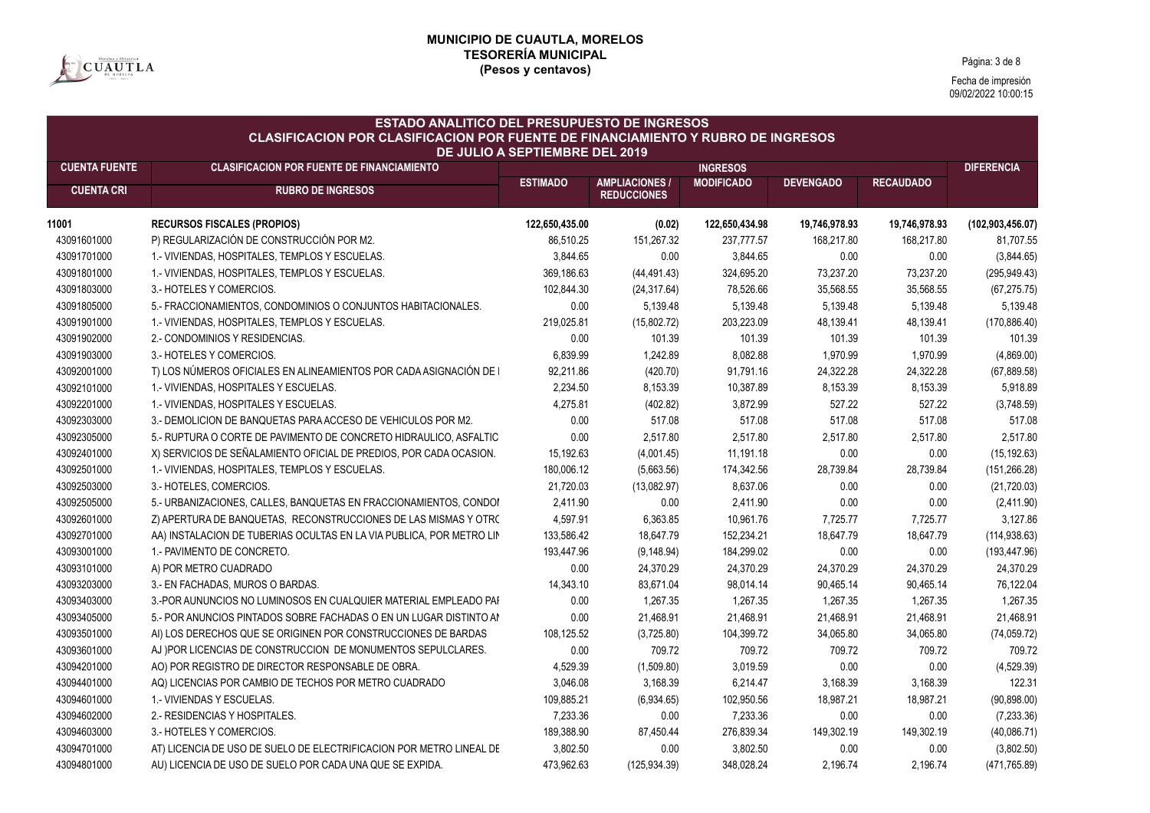

Página: 3 de 8

| <b>ESTADO ANALITICO DEL PRESUPUESTO DE INGRESOS</b><br><b>CLASIFICACION POR CLASIFICACION POR FUENTE DE FINANCIAMIENTO Y RUBRO DE INGRESOS</b><br>DE JULIO A SEPTIEMBRE DEL 2019 |                                                                      |                 |                                             |                   |                  |                  |                    |  |  |
|----------------------------------------------------------------------------------------------------------------------------------------------------------------------------------|----------------------------------------------------------------------|-----------------|---------------------------------------------|-------------------|------------------|------------------|--------------------|--|--|
| <b>CUENTA FUENTE</b>                                                                                                                                                             | <b>CLASIFICACION POR FUENTE DE FINANCIAMIENTO</b>                    |                 |                                             | <b>INGRESOS</b>   |                  |                  | <b>DIFERENCIA</b>  |  |  |
| <b>CUENTA CRI</b>                                                                                                                                                                | <b>RUBRO DE INGRESOS</b>                                             | <b>ESTIMADO</b> | <b>AMPLIACIONES /</b><br><b>REDUCCIONES</b> | <b>MODIFICADO</b> | <b>DEVENGADO</b> | <b>RECAUDADO</b> |                    |  |  |
|                                                                                                                                                                                  |                                                                      |                 |                                             |                   |                  |                  |                    |  |  |
| 11001                                                                                                                                                                            | <b>RECURSOS FISCALES (PROPIOS)</b>                                   | 122,650,435.00  | (0.02)                                      | 122,650,434.98    | 19,746,978.93    | 19,746,978.93    | (102, 903, 456.07) |  |  |
| 43091601000                                                                                                                                                                      | P) REGULARIZACIÓN DE CONSTRUCCIÓN POR M2.                            | 86,510.25       | 151,267.32                                  | 237,777.57        | 168,217.80       | 168,217.80       | 81,707.55          |  |  |
| 43091701000                                                                                                                                                                      | 1.- VIVIENDAS, HOSPITALES, TEMPLOS Y ESCUELAS.                       | 3,844.65        | 0.00                                        | 3,844.65          | 0.00             | 0.00             | (3,844.65)         |  |  |
| 43091801000                                                                                                                                                                      | 1.- VIVIENDAS, HOSPITALES, TEMPLOS Y ESCUELAS.                       | 369,186.63      | (44, 491.43)                                | 324,695.20        | 73,237.20        | 73,237.20        | (295, 949.43)      |  |  |
| 43091803000                                                                                                                                                                      | 3.- HOTELES Y COMERCIOS.                                             | 102,844.30      | (24, 317.64)                                | 78,526.66         | 35,568.55        | 35,568.55        | (67, 275.75)       |  |  |
| 43091805000                                                                                                                                                                      | 5.- FRACCIONAMIENTOS, CONDOMINIOS O CONJUNTOS HABITACIONALES.        | 0.00            | 5,139.48                                    | 5,139.48          | 5,139.48         | 5,139.48         | 5,139.48           |  |  |
| 43091901000                                                                                                                                                                      | 1.- VIVIENDAS, HOSPITALES, TEMPLOS Y ESCUELAS.                       | 219,025.81      | (15,802.72)                                 | 203,223.09        | 48,139.41        | 48,139.41        | (170, 886.40)      |  |  |
| 43091902000                                                                                                                                                                      | 2.- CONDOMINIOS Y RESIDENCIAS.                                       | 0.00            | 101.39                                      | 101.39            | 101.39           | 101.39           | 101.39             |  |  |
| 43091903000                                                                                                                                                                      | 3.- HOTELES Y COMERCIOS.                                             | 6,839.99        | 1,242.89                                    | 8,082.88          | 1,970.99         | 1,970.99         | (4,869.00)         |  |  |
| 43092001000                                                                                                                                                                      | T) LOS NÚMEROS OFICIALES EN ALINEAMIENTOS POR CADA ASIGNACIÓN DE     | 92,211.86       | (420.70)                                    | 91,791.16         | 24,322.28        | 24,322.28        | (67, 889.58)       |  |  |
| 43092101000                                                                                                                                                                      | 1.- VIVIENDAS, HOSPITALES Y ESCUELAS.                                | 2,234.50        | 8,153.39                                    | 10,387.89         | 8,153.39         | 8,153.39         | 5,918.89           |  |  |
| 43092201000                                                                                                                                                                      | 1.- VIVIENDAS, HOSPITALES Y ESCUELAS.                                | 4,275.81        | (402.82)                                    | 3,872.99          | 527.22           | 527.22           | (3,748.59)         |  |  |
| 43092303000                                                                                                                                                                      | 3.- DEMOLICION DE BANQUETAS PARA ACCESO DE VEHICULOS POR M2.         | 0.00            | 517.08                                      | 517.08            | 517.08           | 517.08           | 517.08             |  |  |
| 43092305000                                                                                                                                                                      | 5.- RUPTURA O CORTE DE PAVIMENTO DE CONCRETO HIDRAULICO, ASFALTIC    | 0.00            | 2,517.80                                    | 2,517.80          | 2,517.80         | 2,517.80         | 2,517.80           |  |  |
| 43092401000                                                                                                                                                                      | X) SERVICIOS DE SEÑALAMIENTO OFICIAL DE PREDIOS, POR CADA OCASION.   | 15,192.63       | (4,001.45)                                  | 11,191.18         | 0.00             | 0.00             | (15, 192.63)       |  |  |
| 43092501000                                                                                                                                                                      | 1.- VIVIENDAS, HOSPITALES, TEMPLOS Y ESCUELAS.                       | 180,006.12      | (5,663.56)                                  | 174,342.56        | 28,739.84        | 28,739.84        | (151, 266.28)      |  |  |
| 43092503000                                                                                                                                                                      | 3.- HOTELES, COMERCIOS.                                              | 21,720.03       | (13,082.97)                                 | 8,637.06          | 0.00             | 0.00             | (21, 720.03)       |  |  |
| 43092505000                                                                                                                                                                      | 5.- URBANIZACIONES, CALLES, BANQUETAS EN FRACCIONAMIENTOS, CONDOI    | 2,411.90        | 0.00                                        | 2,411.90          | 0.00             | 0.00             | (2,411.90)         |  |  |
| 43092601000                                                                                                                                                                      | Z) APERTURA DE BANQUETAS, RECONSTRUCCIONES DE LAS MISMAS Y OTRO      | 4,597.91        | 6,363.85                                    | 10,961.76         | 7,725.77         | 7,725.77         | 3,127.86           |  |  |
| 43092701000                                                                                                                                                                      | AA) INSTALACION DE TUBERIAS OCULTAS EN LA VIA PUBLICA, POR METRO LIN | 133,586.42      | 18,647.79                                   | 152,234.21        | 18,647.79        | 18,647.79        | (114, 938.63)      |  |  |
| 43093001000                                                                                                                                                                      | 1.- PAVIMENTO DE CONCRETO.                                           | 193,447.96      | (9, 148.94)                                 | 184,299.02        | 0.00             | 0.00             | (193, 447.96)      |  |  |
| 43093101000                                                                                                                                                                      | A) POR METRO CUADRADO                                                | 0.00            | 24,370.29                                   | 24,370.29         | 24,370.29        | 24,370.29        | 24,370.29          |  |  |
| 43093203000                                                                                                                                                                      | 3.- EN FACHADAS, MUROS O BARDAS.                                     | 14,343.10       | 83,671.04                                   | 98,014.14         | 90,465.14        | 90,465.14        | 76,122.04          |  |  |
| 43093403000                                                                                                                                                                      | 3.-POR AUNUNCIOS NO LUMINOSOS EN CUALQUIER MATERIAL EMPLEADO PAI     | 0.00            | 1,267.35                                    | 1,267.35          | 1,267.35         | 1,267.35         | 1,267.35           |  |  |
| 43093405000                                                                                                                                                                      | 5.- POR ANUNCIOS PINTADOS SOBRE FACHADAS O EN UN LUGAR DISTINTO AN   | 0.00            | 21,468.91                                   | 21,468.91         | 21,468.91        | 21,468.91        | 21,468.91          |  |  |
| 43093501000                                                                                                                                                                      | AI) LOS DERECHOS QUE SE ORIGINEN POR CONSTRUCCIONES DE BARDAS        | 108,125.52      | (3,725.80)                                  | 104,399.72        | 34,065.80        | 34,065.80        | (74, 059.72)       |  |  |
| 43093601000                                                                                                                                                                      | AJ )POR LICENCIAS DE CONSTRUCCION DE MONUMENTOS SEPULCLARES.         | 0.00            | 709.72                                      | 709.72            | 709.72           | 709.72           | 709.72             |  |  |
| 43094201000                                                                                                                                                                      | AO) POR REGISTRO DE DIRECTOR RESPONSABLE DE OBRA.                    | 4,529.39        | (1,509.80)                                  | 3,019.59          | 0.00             | 0.00             | (4,529.39)         |  |  |
| 43094401000                                                                                                                                                                      | AQ) LICENCIAS POR CAMBIO DE TECHOS POR METRO CUADRADO                | 3,046.08        | 3,168.39                                    | 6,214.47          | 3,168.39         | 3,168.39         | 122.31             |  |  |
| 43094601000                                                                                                                                                                      | 1.- VIVIENDAS Y ESCUELAS.                                            | 109,885.21      | (6,934.65)                                  | 102,950.56        | 18,987.21        | 18.987.21        | (90, 898.00)       |  |  |
| 43094602000                                                                                                                                                                      | 2.- RESIDENCIAS Y HOSPITALES.                                        | 7,233.36        | 0.00                                        | 7,233.36          | 0.00             | 0.00             | (7, 233.36)        |  |  |
| 43094603000                                                                                                                                                                      | 3.- HOTELES Y COMERCIOS.                                             | 189,388.90      | 87,450.44                                   | 276,839.34        | 149,302.19       | 149,302.19       | (40,086.71)        |  |  |
| 43094701000                                                                                                                                                                      | AT) LICENCIA DE USO DE SUELO DE ELECTRIFICACION POR METRO LINEAL DE  | 3,802.50        | 0.00                                        | 3,802.50          | 0.00             | 0.00             | (3,802.50)         |  |  |
| 43094801000                                                                                                                                                                      | AU) LICENCIA DE USO DE SUELO POR CADA UNA QUE SE EXPIDA.             | 473,962.63      | (125.934.39)                                | 348.028.24        | 2,196.74         | 2,196.74         | (471,765.89)       |  |  |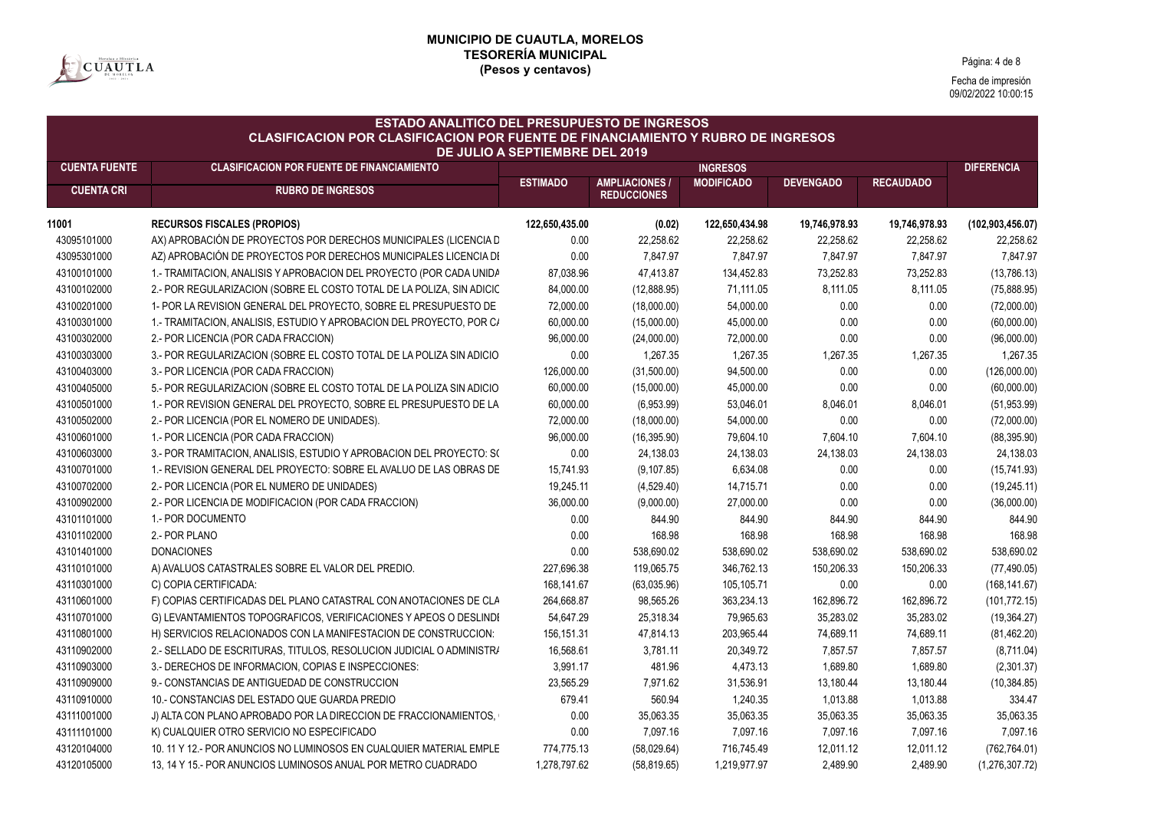

Página: 4 de 8

| <b>CUENTA FUENTE</b><br><b>CLASIFICACION POR FUENTE DE FINANCIAMIENTO</b><br><b>INGRESOS</b><br><b>AMPLIACIONES /</b><br><b>MODIFICADO</b><br><b>RECAUDADO</b><br><b>ESTIMADO</b><br><b>DEVENGADO</b><br><b>CUENTA CRI</b><br><b>RUBRO DE INGRESOS</b><br><b>REDUCCIONES</b><br><b>RECURSOS FISCALES (PROPIOS)</b><br>122,650,435.00<br>(0.02)<br>122,650,434.98<br>19,746,978.93<br>19,746,978.93<br>11001<br>43095101000<br>AX) APROBACIÓN DE PROYECTOS POR DERECHOS MUNICIPALES (LICENCIA D<br>22,258.62<br>22,258.62<br>22,258.62<br>22,258.62<br>0.00<br>43095301000<br>AZ) APROBACIÓN DE PROYECTOS POR DERECHOS MUNICIPALES LICENCIA DI<br>0.00<br>7,847.97<br>7,847.97<br>7,847.97<br>7,847.97<br>134,452.83<br>73,252.83<br>43100101000<br>1.- TRAMITACION, ANALISIS Y APROBACION DEL PROYECTO (POR CADA UNIDA<br>87,038.96<br>47,413.87<br>73,252.83<br>8,111.05<br>8,111.05<br>43100102000<br>2.- POR REGULARIZACION (SOBRE EL COSTO TOTAL DE LA POLIZA, SIN ADICIC<br>84,000.00<br>(12,888.95)<br>71,111.05<br>0.00<br>43100201000<br>1- POR LA REVISION GENERAL DEL PROYECTO, SOBRE EL PRESUPUESTO DE<br>72,000.00<br>54,000.00<br>0.00<br>(18,000.00)<br>43100301000<br>60,000.00<br>45,000.00<br>0.00<br>0.00<br>1.- TRAMITACION, ANALISIS, ESTUDIO Y APROBACION DEL PROYECTO, POR C/<br>(15,000.00)<br>72,000.00<br>43100302000<br>2.- POR LICENCIA (POR CADA FRACCION)<br>96,000.00<br>(24,000.00)<br>0.00<br>0.00<br>43100303000<br>3.- POR REGULARIZACION (SOBRE EL COSTO TOTAL DE LA POLIZA SIN ADICIO<br>0.00<br>1,267.35<br>1,267.35<br>1,267.35<br>1,267.35<br>43100403000<br>3.- POR LICENCIA (POR CADA FRACCION)<br>126,000.00<br>94,500.00<br>0.00<br>(31,500.00)<br>0.00<br>5.- POR REGULARIZACION (SOBRE EL COSTO TOTAL DE LA POLIZA SIN ADICIO<br>60,000.00<br>45,000.00<br>0.00<br>0.00<br>43100405000<br>(15,000.00)<br>43100501000<br>1.- POR REVISION GENERAL DEL PROYECTO, SOBRE EL PRESUPUESTO DE LA<br>60,000.00<br>(6,953.99)<br>53,046.01<br>8,046.01<br>8,046.01<br>0.00<br>43100502000<br>72,000.00<br>(18,000.00)<br>54,000.00<br>0.00<br>2.- POR LICENCIA (POR EL NOMERO DE UNIDADES).<br>43100601000<br>79,604.10<br>7,604.10<br>1.- POR LICENCIA (POR CADA FRACCION)<br>96,000.00<br>(16, 395.90)<br>7,604.10<br>43100603000<br>3.- POR TRAMITACION, ANALISIS, ESTUDIO Y APROBACION DEL PROYECTO: S(<br>0.00<br>24,138.03<br>24,138.03<br>24,138.03<br>24,138.03<br>43100701000<br>1.- REVISION GENERAL DEL PROYECTO: SOBRE EL AVALUO DE LAS OBRAS DE<br>(9, 107.85)<br>6,634.08<br>0.00<br>0.00<br>15,741.93<br>0.00<br>0.00<br>43100702000<br>2.- POR LICENCIA (POR EL NUMERO DE UNIDADES)<br>19,245.11<br>(4,529.40)<br>14,715.71<br>0.00<br>0.00<br>43100902000<br>2.- POR LICENCIA DE MODIFICACION (POR CADA FRACCION)<br>36,000.00<br>(9,000.00)<br>27,000.00<br>43101101000<br>1.- POR DOCUMENTO<br>0.00<br>844.90<br>844.90<br>844.90<br>844.90<br>168.98<br>43101102000<br>2.- POR PLANO<br>0.00<br>168.98<br>168.98<br>168.98<br>43101401000<br>538,690.02<br><b>DONACIONES</b><br>0.00<br>538,690.02<br>538,690.02<br>538,690.02<br>43110101000<br>227,696.38<br>119,065.75<br>346,762.13<br>150,206.33<br>150,206.33<br>A) AVALUOS CATASTRALES SOBRE EL VALOR DEL PREDIO.<br>43110301000<br>C) COPIA CERTIFICADA:<br>168,141.67<br>(63,035.96)<br>105,105.71<br>0.00<br>0.00<br>43110601000<br>F) COPIAS CERTIFICADAS DEL PLANO CATASTRAL CON ANOTACIONES DE CLA<br>264,668.87<br>98,565.26<br>363,234.13<br>162,896.72<br>162,896.72<br>79,965.63<br>43110701000<br>G) LEVANTAMIENTOS TOPOGRAFICOS, VERIFICACIONES Y APEOS O DESLINDI<br>54,647.29<br>25,318.34<br>35,283.02<br>35,283.02<br>43110801000<br>H) SERVICIOS RELACIONADOS CON LA MANIFESTACION DE CONSTRUCCION:<br>156, 151.31<br>47,814.13<br>203,965.44<br>74,689.11<br>74,689.11<br>43110902000<br>16,568.61<br>3,781.11<br>20,349.72<br>7,857.57<br>7,857.57<br>2.- SELLADO DE ESCRITURAS, TITULOS, RESOLUCION JUDICIAL O ADMINISTRA<br>43110903000<br>3,991.17<br>481.96<br>4,473.13<br>1,689.80<br>3.- DERECHOS DE INFORMACION, COPIAS E INSPECCIONES:<br>1,689.80<br>43110909000<br>23,565.29<br>7,971.62<br>31,536.91<br>13,180.44<br>13,180.44<br>9.- CONSTANCIAS DE ANTIGUEDAD DE CONSTRUCCION<br>43110910000<br>679.41<br>560.94<br>1,240.35<br>1,013.88<br>1,013.88<br>10.- CONSTANCIAS DEL ESTADO QUE GUARDA PREDIO<br>J) ALTA CON PLANO APROBADO POR LA DIRECCION DE FRACCIONAMIENTOS,<br>0.00<br>35,063.35<br>35,063.35<br>35,063.35<br>35,063.35<br>43111001000<br>7,097.16<br>K) CUALQUIER OTRO SERVICIO NO ESPECIFICADO<br>0.00<br>7,097.16<br>7,097.16<br>7,097.16<br>43111101000 | <b>ESTADO ANALITICO DEL PRESUPUESTO DE INGRESOS</b><br><b>CLASIFICACION POR CLASIFICACION POR FUENTE DE FINANCIAMIENTO Y RUBRO DE INGRESOS</b><br>DE JULIO A SEPTIEMBRE DEL 2019 |                                                                     |            |             |            |           |           |                    |  |  |
|--------------------------------------------------------------------------------------------------------------------------------------------------------------------------------------------------------------------------------------------------------------------------------------------------------------------------------------------------------------------------------------------------------------------------------------------------------------------------------------------------------------------------------------------------------------------------------------------------------------------------------------------------------------------------------------------------------------------------------------------------------------------------------------------------------------------------------------------------------------------------------------------------------------------------------------------------------------------------------------------------------------------------------------------------------------------------------------------------------------------------------------------------------------------------------------------------------------------------------------------------------------------------------------------------------------------------------------------------------------------------------------------------------------------------------------------------------------------------------------------------------------------------------------------------------------------------------------------------------------------------------------------------------------------------------------------------------------------------------------------------------------------------------------------------------------------------------------------------------------------------------------------------------------------------------------------------------------------------------------------------------------------------------------------------------------------------------------------------------------------------------------------------------------------------------------------------------------------------------------------------------------------------------------------------------------------------------------------------------------------------------------------------------------------------------------------------------------------------------------------------------------------------------------------------------------------------------------------------------------------------------------------------------------------------------------------------------------------------------------------------------------------------------------------------------------------------------------------------------------------------------------------------------------------------------------------------------------------------------------------------------------------------------------------------------------------------------------------------------------------------------------------------------------------------------------------------------------------------------------------------------------------------------------------------------------------------------------------------------------------------------------------------------------------------------------------------------------------------------------------------------------------------------------------------------------------------------------------------------------------------------------------------------------------------------------------------------------------------------------------------------------------------------------------------------------------------------------------------------------------------------------------------------------------------------------------------------------------------------------------------------------------------------------------------------------------------------------------------------------------------------------------------------------------------------------------------------------------------------------------------------------------------------------------------------------------------------------------------------------------------------------------------------------------------------------------------------------------------------------------------------------------------------------------------------------------------------------------------------------------------|----------------------------------------------------------------------------------------------------------------------------------------------------------------------------------|---------------------------------------------------------------------|------------|-------------|------------|-----------|-----------|--------------------|--|--|
|                                                                                                                                                                                                                                                                                                                                                                                                                                                                                                                                                                                                                                                                                                                                                                                                                                                                                                                                                                                                                                                                                                                                                                                                                                                                                                                                                                                                                                                                                                                                                                                                                                                                                                                                                                                                                                                                                                                                                                                                                                                                                                                                                                                                                                                                                                                                                                                                                                                                                                                                                                                                                                                                                                                                                                                                                                                                                                                                                                                                                                                                                                                                                                                                                                                                                                                                                                                                                                                                                                                                                                                                                                                                                                                                                                                                                                                                                                                                                                                                                                                                                                                                                                                                                                                                                                                                                                                                                                                                                                                                                                                                                          |                                                                                                                                                                                  |                                                                     |            |             |            |           |           | <b>DIFERENCIA</b>  |  |  |
|                                                                                                                                                                                                                                                                                                                                                                                                                                                                                                                                                                                                                                                                                                                                                                                                                                                                                                                                                                                                                                                                                                                                                                                                                                                                                                                                                                                                                                                                                                                                                                                                                                                                                                                                                                                                                                                                                                                                                                                                                                                                                                                                                                                                                                                                                                                                                                                                                                                                                                                                                                                                                                                                                                                                                                                                                                                                                                                                                                                                                                                                                                                                                                                                                                                                                                                                                                                                                                                                                                                                                                                                                                                                                                                                                                                                                                                                                                                                                                                                                                                                                                                                                                                                                                                                                                                                                                                                                                                                                                                                                                                                                          |                                                                                                                                                                                  |                                                                     |            |             |            |           |           |                    |  |  |
|                                                                                                                                                                                                                                                                                                                                                                                                                                                                                                                                                                                                                                                                                                                                                                                                                                                                                                                                                                                                                                                                                                                                                                                                                                                                                                                                                                                                                                                                                                                                                                                                                                                                                                                                                                                                                                                                                                                                                                                                                                                                                                                                                                                                                                                                                                                                                                                                                                                                                                                                                                                                                                                                                                                                                                                                                                                                                                                                                                                                                                                                                                                                                                                                                                                                                                                                                                                                                                                                                                                                                                                                                                                                                                                                                                                                                                                                                                                                                                                                                                                                                                                                                                                                                                                                                                                                                                                                                                                                                                                                                                                                                          |                                                                                                                                                                                  |                                                                     |            |             |            |           |           | (102, 903, 456.07) |  |  |
|                                                                                                                                                                                                                                                                                                                                                                                                                                                                                                                                                                                                                                                                                                                                                                                                                                                                                                                                                                                                                                                                                                                                                                                                                                                                                                                                                                                                                                                                                                                                                                                                                                                                                                                                                                                                                                                                                                                                                                                                                                                                                                                                                                                                                                                                                                                                                                                                                                                                                                                                                                                                                                                                                                                                                                                                                                                                                                                                                                                                                                                                                                                                                                                                                                                                                                                                                                                                                                                                                                                                                                                                                                                                                                                                                                                                                                                                                                                                                                                                                                                                                                                                                                                                                                                                                                                                                                                                                                                                                                                                                                                                                          |                                                                                                                                                                                  |                                                                     |            |             |            |           |           | 22,258.62          |  |  |
|                                                                                                                                                                                                                                                                                                                                                                                                                                                                                                                                                                                                                                                                                                                                                                                                                                                                                                                                                                                                                                                                                                                                                                                                                                                                                                                                                                                                                                                                                                                                                                                                                                                                                                                                                                                                                                                                                                                                                                                                                                                                                                                                                                                                                                                                                                                                                                                                                                                                                                                                                                                                                                                                                                                                                                                                                                                                                                                                                                                                                                                                                                                                                                                                                                                                                                                                                                                                                                                                                                                                                                                                                                                                                                                                                                                                                                                                                                                                                                                                                                                                                                                                                                                                                                                                                                                                                                                                                                                                                                                                                                                                                          |                                                                                                                                                                                  |                                                                     |            |             |            |           |           | 7,847.97           |  |  |
|                                                                                                                                                                                                                                                                                                                                                                                                                                                                                                                                                                                                                                                                                                                                                                                                                                                                                                                                                                                                                                                                                                                                                                                                                                                                                                                                                                                                                                                                                                                                                                                                                                                                                                                                                                                                                                                                                                                                                                                                                                                                                                                                                                                                                                                                                                                                                                                                                                                                                                                                                                                                                                                                                                                                                                                                                                                                                                                                                                                                                                                                                                                                                                                                                                                                                                                                                                                                                                                                                                                                                                                                                                                                                                                                                                                                                                                                                                                                                                                                                                                                                                                                                                                                                                                                                                                                                                                                                                                                                                                                                                                                                          |                                                                                                                                                                                  |                                                                     |            |             |            |           |           | (13,786.13)        |  |  |
|                                                                                                                                                                                                                                                                                                                                                                                                                                                                                                                                                                                                                                                                                                                                                                                                                                                                                                                                                                                                                                                                                                                                                                                                                                                                                                                                                                                                                                                                                                                                                                                                                                                                                                                                                                                                                                                                                                                                                                                                                                                                                                                                                                                                                                                                                                                                                                                                                                                                                                                                                                                                                                                                                                                                                                                                                                                                                                                                                                                                                                                                                                                                                                                                                                                                                                                                                                                                                                                                                                                                                                                                                                                                                                                                                                                                                                                                                                                                                                                                                                                                                                                                                                                                                                                                                                                                                                                                                                                                                                                                                                                                                          |                                                                                                                                                                                  |                                                                     |            |             |            |           |           | (75,888.95)        |  |  |
|                                                                                                                                                                                                                                                                                                                                                                                                                                                                                                                                                                                                                                                                                                                                                                                                                                                                                                                                                                                                                                                                                                                                                                                                                                                                                                                                                                                                                                                                                                                                                                                                                                                                                                                                                                                                                                                                                                                                                                                                                                                                                                                                                                                                                                                                                                                                                                                                                                                                                                                                                                                                                                                                                                                                                                                                                                                                                                                                                                                                                                                                                                                                                                                                                                                                                                                                                                                                                                                                                                                                                                                                                                                                                                                                                                                                                                                                                                                                                                                                                                                                                                                                                                                                                                                                                                                                                                                                                                                                                                                                                                                                                          |                                                                                                                                                                                  |                                                                     |            |             |            |           |           | (72,000.00)        |  |  |
|                                                                                                                                                                                                                                                                                                                                                                                                                                                                                                                                                                                                                                                                                                                                                                                                                                                                                                                                                                                                                                                                                                                                                                                                                                                                                                                                                                                                                                                                                                                                                                                                                                                                                                                                                                                                                                                                                                                                                                                                                                                                                                                                                                                                                                                                                                                                                                                                                                                                                                                                                                                                                                                                                                                                                                                                                                                                                                                                                                                                                                                                                                                                                                                                                                                                                                                                                                                                                                                                                                                                                                                                                                                                                                                                                                                                                                                                                                                                                                                                                                                                                                                                                                                                                                                                                                                                                                                                                                                                                                                                                                                                                          |                                                                                                                                                                                  |                                                                     |            |             |            |           |           | (60,000.00)        |  |  |
|                                                                                                                                                                                                                                                                                                                                                                                                                                                                                                                                                                                                                                                                                                                                                                                                                                                                                                                                                                                                                                                                                                                                                                                                                                                                                                                                                                                                                                                                                                                                                                                                                                                                                                                                                                                                                                                                                                                                                                                                                                                                                                                                                                                                                                                                                                                                                                                                                                                                                                                                                                                                                                                                                                                                                                                                                                                                                                                                                                                                                                                                                                                                                                                                                                                                                                                                                                                                                                                                                                                                                                                                                                                                                                                                                                                                                                                                                                                                                                                                                                                                                                                                                                                                                                                                                                                                                                                                                                                                                                                                                                                                                          |                                                                                                                                                                                  |                                                                     |            |             |            |           |           | (96,000.00)        |  |  |
|                                                                                                                                                                                                                                                                                                                                                                                                                                                                                                                                                                                                                                                                                                                                                                                                                                                                                                                                                                                                                                                                                                                                                                                                                                                                                                                                                                                                                                                                                                                                                                                                                                                                                                                                                                                                                                                                                                                                                                                                                                                                                                                                                                                                                                                                                                                                                                                                                                                                                                                                                                                                                                                                                                                                                                                                                                                                                                                                                                                                                                                                                                                                                                                                                                                                                                                                                                                                                                                                                                                                                                                                                                                                                                                                                                                                                                                                                                                                                                                                                                                                                                                                                                                                                                                                                                                                                                                                                                                                                                                                                                                                                          |                                                                                                                                                                                  |                                                                     |            |             |            |           |           | 1,267.35           |  |  |
|                                                                                                                                                                                                                                                                                                                                                                                                                                                                                                                                                                                                                                                                                                                                                                                                                                                                                                                                                                                                                                                                                                                                                                                                                                                                                                                                                                                                                                                                                                                                                                                                                                                                                                                                                                                                                                                                                                                                                                                                                                                                                                                                                                                                                                                                                                                                                                                                                                                                                                                                                                                                                                                                                                                                                                                                                                                                                                                                                                                                                                                                                                                                                                                                                                                                                                                                                                                                                                                                                                                                                                                                                                                                                                                                                                                                                                                                                                                                                                                                                                                                                                                                                                                                                                                                                                                                                                                                                                                                                                                                                                                                                          |                                                                                                                                                                                  |                                                                     |            |             |            |           |           | (126,000.00)       |  |  |
|                                                                                                                                                                                                                                                                                                                                                                                                                                                                                                                                                                                                                                                                                                                                                                                                                                                                                                                                                                                                                                                                                                                                                                                                                                                                                                                                                                                                                                                                                                                                                                                                                                                                                                                                                                                                                                                                                                                                                                                                                                                                                                                                                                                                                                                                                                                                                                                                                                                                                                                                                                                                                                                                                                                                                                                                                                                                                                                                                                                                                                                                                                                                                                                                                                                                                                                                                                                                                                                                                                                                                                                                                                                                                                                                                                                                                                                                                                                                                                                                                                                                                                                                                                                                                                                                                                                                                                                                                                                                                                                                                                                                                          |                                                                                                                                                                                  |                                                                     |            |             |            |           |           | (60,000.00)        |  |  |
|                                                                                                                                                                                                                                                                                                                                                                                                                                                                                                                                                                                                                                                                                                                                                                                                                                                                                                                                                                                                                                                                                                                                                                                                                                                                                                                                                                                                                                                                                                                                                                                                                                                                                                                                                                                                                                                                                                                                                                                                                                                                                                                                                                                                                                                                                                                                                                                                                                                                                                                                                                                                                                                                                                                                                                                                                                                                                                                                                                                                                                                                                                                                                                                                                                                                                                                                                                                                                                                                                                                                                                                                                                                                                                                                                                                                                                                                                                                                                                                                                                                                                                                                                                                                                                                                                                                                                                                                                                                                                                                                                                                                                          |                                                                                                                                                                                  |                                                                     |            |             |            |           |           | (51, 953.99)       |  |  |
|                                                                                                                                                                                                                                                                                                                                                                                                                                                                                                                                                                                                                                                                                                                                                                                                                                                                                                                                                                                                                                                                                                                                                                                                                                                                                                                                                                                                                                                                                                                                                                                                                                                                                                                                                                                                                                                                                                                                                                                                                                                                                                                                                                                                                                                                                                                                                                                                                                                                                                                                                                                                                                                                                                                                                                                                                                                                                                                                                                                                                                                                                                                                                                                                                                                                                                                                                                                                                                                                                                                                                                                                                                                                                                                                                                                                                                                                                                                                                                                                                                                                                                                                                                                                                                                                                                                                                                                                                                                                                                                                                                                                                          |                                                                                                                                                                                  |                                                                     |            |             |            |           |           | (72,000.00)        |  |  |
|                                                                                                                                                                                                                                                                                                                                                                                                                                                                                                                                                                                                                                                                                                                                                                                                                                                                                                                                                                                                                                                                                                                                                                                                                                                                                                                                                                                                                                                                                                                                                                                                                                                                                                                                                                                                                                                                                                                                                                                                                                                                                                                                                                                                                                                                                                                                                                                                                                                                                                                                                                                                                                                                                                                                                                                                                                                                                                                                                                                                                                                                                                                                                                                                                                                                                                                                                                                                                                                                                                                                                                                                                                                                                                                                                                                                                                                                                                                                                                                                                                                                                                                                                                                                                                                                                                                                                                                                                                                                                                                                                                                                                          |                                                                                                                                                                                  |                                                                     |            |             |            |           |           | (88, 395.90)       |  |  |
|                                                                                                                                                                                                                                                                                                                                                                                                                                                                                                                                                                                                                                                                                                                                                                                                                                                                                                                                                                                                                                                                                                                                                                                                                                                                                                                                                                                                                                                                                                                                                                                                                                                                                                                                                                                                                                                                                                                                                                                                                                                                                                                                                                                                                                                                                                                                                                                                                                                                                                                                                                                                                                                                                                                                                                                                                                                                                                                                                                                                                                                                                                                                                                                                                                                                                                                                                                                                                                                                                                                                                                                                                                                                                                                                                                                                                                                                                                                                                                                                                                                                                                                                                                                                                                                                                                                                                                                                                                                                                                                                                                                                                          |                                                                                                                                                                                  |                                                                     |            |             |            |           |           | 24,138.03          |  |  |
|                                                                                                                                                                                                                                                                                                                                                                                                                                                                                                                                                                                                                                                                                                                                                                                                                                                                                                                                                                                                                                                                                                                                                                                                                                                                                                                                                                                                                                                                                                                                                                                                                                                                                                                                                                                                                                                                                                                                                                                                                                                                                                                                                                                                                                                                                                                                                                                                                                                                                                                                                                                                                                                                                                                                                                                                                                                                                                                                                                                                                                                                                                                                                                                                                                                                                                                                                                                                                                                                                                                                                                                                                                                                                                                                                                                                                                                                                                                                                                                                                                                                                                                                                                                                                                                                                                                                                                                                                                                                                                                                                                                                                          |                                                                                                                                                                                  |                                                                     |            |             |            |           |           | (15,741.93)        |  |  |
|                                                                                                                                                                                                                                                                                                                                                                                                                                                                                                                                                                                                                                                                                                                                                                                                                                                                                                                                                                                                                                                                                                                                                                                                                                                                                                                                                                                                                                                                                                                                                                                                                                                                                                                                                                                                                                                                                                                                                                                                                                                                                                                                                                                                                                                                                                                                                                                                                                                                                                                                                                                                                                                                                                                                                                                                                                                                                                                                                                                                                                                                                                                                                                                                                                                                                                                                                                                                                                                                                                                                                                                                                                                                                                                                                                                                                                                                                                                                                                                                                                                                                                                                                                                                                                                                                                                                                                                                                                                                                                                                                                                                                          |                                                                                                                                                                                  |                                                                     |            |             |            |           |           | (19, 245.11)       |  |  |
|                                                                                                                                                                                                                                                                                                                                                                                                                                                                                                                                                                                                                                                                                                                                                                                                                                                                                                                                                                                                                                                                                                                                                                                                                                                                                                                                                                                                                                                                                                                                                                                                                                                                                                                                                                                                                                                                                                                                                                                                                                                                                                                                                                                                                                                                                                                                                                                                                                                                                                                                                                                                                                                                                                                                                                                                                                                                                                                                                                                                                                                                                                                                                                                                                                                                                                                                                                                                                                                                                                                                                                                                                                                                                                                                                                                                                                                                                                                                                                                                                                                                                                                                                                                                                                                                                                                                                                                                                                                                                                                                                                                                                          |                                                                                                                                                                                  |                                                                     |            |             |            |           |           | (36,000.00)        |  |  |
|                                                                                                                                                                                                                                                                                                                                                                                                                                                                                                                                                                                                                                                                                                                                                                                                                                                                                                                                                                                                                                                                                                                                                                                                                                                                                                                                                                                                                                                                                                                                                                                                                                                                                                                                                                                                                                                                                                                                                                                                                                                                                                                                                                                                                                                                                                                                                                                                                                                                                                                                                                                                                                                                                                                                                                                                                                                                                                                                                                                                                                                                                                                                                                                                                                                                                                                                                                                                                                                                                                                                                                                                                                                                                                                                                                                                                                                                                                                                                                                                                                                                                                                                                                                                                                                                                                                                                                                                                                                                                                                                                                                                                          |                                                                                                                                                                                  |                                                                     |            |             |            |           |           | 844.90             |  |  |
|                                                                                                                                                                                                                                                                                                                                                                                                                                                                                                                                                                                                                                                                                                                                                                                                                                                                                                                                                                                                                                                                                                                                                                                                                                                                                                                                                                                                                                                                                                                                                                                                                                                                                                                                                                                                                                                                                                                                                                                                                                                                                                                                                                                                                                                                                                                                                                                                                                                                                                                                                                                                                                                                                                                                                                                                                                                                                                                                                                                                                                                                                                                                                                                                                                                                                                                                                                                                                                                                                                                                                                                                                                                                                                                                                                                                                                                                                                                                                                                                                                                                                                                                                                                                                                                                                                                                                                                                                                                                                                                                                                                                                          |                                                                                                                                                                                  |                                                                     |            |             |            |           |           | 168.98             |  |  |
|                                                                                                                                                                                                                                                                                                                                                                                                                                                                                                                                                                                                                                                                                                                                                                                                                                                                                                                                                                                                                                                                                                                                                                                                                                                                                                                                                                                                                                                                                                                                                                                                                                                                                                                                                                                                                                                                                                                                                                                                                                                                                                                                                                                                                                                                                                                                                                                                                                                                                                                                                                                                                                                                                                                                                                                                                                                                                                                                                                                                                                                                                                                                                                                                                                                                                                                                                                                                                                                                                                                                                                                                                                                                                                                                                                                                                                                                                                                                                                                                                                                                                                                                                                                                                                                                                                                                                                                                                                                                                                                                                                                                                          |                                                                                                                                                                                  |                                                                     |            |             |            |           |           | 538,690.02         |  |  |
|                                                                                                                                                                                                                                                                                                                                                                                                                                                                                                                                                                                                                                                                                                                                                                                                                                                                                                                                                                                                                                                                                                                                                                                                                                                                                                                                                                                                                                                                                                                                                                                                                                                                                                                                                                                                                                                                                                                                                                                                                                                                                                                                                                                                                                                                                                                                                                                                                                                                                                                                                                                                                                                                                                                                                                                                                                                                                                                                                                                                                                                                                                                                                                                                                                                                                                                                                                                                                                                                                                                                                                                                                                                                                                                                                                                                                                                                                                                                                                                                                                                                                                                                                                                                                                                                                                                                                                                                                                                                                                                                                                                                                          |                                                                                                                                                                                  |                                                                     |            |             |            |           |           | (77, 490.05)       |  |  |
|                                                                                                                                                                                                                                                                                                                                                                                                                                                                                                                                                                                                                                                                                                                                                                                                                                                                                                                                                                                                                                                                                                                                                                                                                                                                                                                                                                                                                                                                                                                                                                                                                                                                                                                                                                                                                                                                                                                                                                                                                                                                                                                                                                                                                                                                                                                                                                                                                                                                                                                                                                                                                                                                                                                                                                                                                                                                                                                                                                                                                                                                                                                                                                                                                                                                                                                                                                                                                                                                                                                                                                                                                                                                                                                                                                                                                                                                                                                                                                                                                                                                                                                                                                                                                                                                                                                                                                                                                                                                                                                                                                                                                          |                                                                                                                                                                                  |                                                                     |            |             |            |           |           | (168, 141.67)      |  |  |
|                                                                                                                                                                                                                                                                                                                                                                                                                                                                                                                                                                                                                                                                                                                                                                                                                                                                                                                                                                                                                                                                                                                                                                                                                                                                                                                                                                                                                                                                                                                                                                                                                                                                                                                                                                                                                                                                                                                                                                                                                                                                                                                                                                                                                                                                                                                                                                                                                                                                                                                                                                                                                                                                                                                                                                                                                                                                                                                                                                                                                                                                                                                                                                                                                                                                                                                                                                                                                                                                                                                                                                                                                                                                                                                                                                                                                                                                                                                                                                                                                                                                                                                                                                                                                                                                                                                                                                                                                                                                                                                                                                                                                          |                                                                                                                                                                                  |                                                                     |            |             |            |           |           | (101, 772.15)      |  |  |
|                                                                                                                                                                                                                                                                                                                                                                                                                                                                                                                                                                                                                                                                                                                                                                                                                                                                                                                                                                                                                                                                                                                                                                                                                                                                                                                                                                                                                                                                                                                                                                                                                                                                                                                                                                                                                                                                                                                                                                                                                                                                                                                                                                                                                                                                                                                                                                                                                                                                                                                                                                                                                                                                                                                                                                                                                                                                                                                                                                                                                                                                                                                                                                                                                                                                                                                                                                                                                                                                                                                                                                                                                                                                                                                                                                                                                                                                                                                                                                                                                                                                                                                                                                                                                                                                                                                                                                                                                                                                                                                                                                                                                          |                                                                                                                                                                                  |                                                                     |            |             |            |           |           | (19, 364.27)       |  |  |
|                                                                                                                                                                                                                                                                                                                                                                                                                                                                                                                                                                                                                                                                                                                                                                                                                                                                                                                                                                                                                                                                                                                                                                                                                                                                                                                                                                                                                                                                                                                                                                                                                                                                                                                                                                                                                                                                                                                                                                                                                                                                                                                                                                                                                                                                                                                                                                                                                                                                                                                                                                                                                                                                                                                                                                                                                                                                                                                                                                                                                                                                                                                                                                                                                                                                                                                                                                                                                                                                                                                                                                                                                                                                                                                                                                                                                                                                                                                                                                                                                                                                                                                                                                                                                                                                                                                                                                                                                                                                                                                                                                                                                          |                                                                                                                                                                                  |                                                                     |            |             |            |           |           | (81, 462.20)       |  |  |
|                                                                                                                                                                                                                                                                                                                                                                                                                                                                                                                                                                                                                                                                                                                                                                                                                                                                                                                                                                                                                                                                                                                                                                                                                                                                                                                                                                                                                                                                                                                                                                                                                                                                                                                                                                                                                                                                                                                                                                                                                                                                                                                                                                                                                                                                                                                                                                                                                                                                                                                                                                                                                                                                                                                                                                                                                                                                                                                                                                                                                                                                                                                                                                                                                                                                                                                                                                                                                                                                                                                                                                                                                                                                                                                                                                                                                                                                                                                                                                                                                                                                                                                                                                                                                                                                                                                                                                                                                                                                                                                                                                                                                          |                                                                                                                                                                                  |                                                                     |            |             |            |           |           | (8,711.04)         |  |  |
|                                                                                                                                                                                                                                                                                                                                                                                                                                                                                                                                                                                                                                                                                                                                                                                                                                                                                                                                                                                                                                                                                                                                                                                                                                                                                                                                                                                                                                                                                                                                                                                                                                                                                                                                                                                                                                                                                                                                                                                                                                                                                                                                                                                                                                                                                                                                                                                                                                                                                                                                                                                                                                                                                                                                                                                                                                                                                                                                                                                                                                                                                                                                                                                                                                                                                                                                                                                                                                                                                                                                                                                                                                                                                                                                                                                                                                                                                                                                                                                                                                                                                                                                                                                                                                                                                                                                                                                                                                                                                                                                                                                                                          |                                                                                                                                                                                  |                                                                     |            |             |            |           |           | (2,301.37)         |  |  |
|                                                                                                                                                                                                                                                                                                                                                                                                                                                                                                                                                                                                                                                                                                                                                                                                                                                                                                                                                                                                                                                                                                                                                                                                                                                                                                                                                                                                                                                                                                                                                                                                                                                                                                                                                                                                                                                                                                                                                                                                                                                                                                                                                                                                                                                                                                                                                                                                                                                                                                                                                                                                                                                                                                                                                                                                                                                                                                                                                                                                                                                                                                                                                                                                                                                                                                                                                                                                                                                                                                                                                                                                                                                                                                                                                                                                                                                                                                                                                                                                                                                                                                                                                                                                                                                                                                                                                                                                                                                                                                                                                                                                                          |                                                                                                                                                                                  |                                                                     |            |             |            |           |           | (10, 384.85)       |  |  |
|                                                                                                                                                                                                                                                                                                                                                                                                                                                                                                                                                                                                                                                                                                                                                                                                                                                                                                                                                                                                                                                                                                                                                                                                                                                                                                                                                                                                                                                                                                                                                                                                                                                                                                                                                                                                                                                                                                                                                                                                                                                                                                                                                                                                                                                                                                                                                                                                                                                                                                                                                                                                                                                                                                                                                                                                                                                                                                                                                                                                                                                                                                                                                                                                                                                                                                                                                                                                                                                                                                                                                                                                                                                                                                                                                                                                                                                                                                                                                                                                                                                                                                                                                                                                                                                                                                                                                                                                                                                                                                                                                                                                                          |                                                                                                                                                                                  |                                                                     |            |             |            |           |           | 334.47             |  |  |
|                                                                                                                                                                                                                                                                                                                                                                                                                                                                                                                                                                                                                                                                                                                                                                                                                                                                                                                                                                                                                                                                                                                                                                                                                                                                                                                                                                                                                                                                                                                                                                                                                                                                                                                                                                                                                                                                                                                                                                                                                                                                                                                                                                                                                                                                                                                                                                                                                                                                                                                                                                                                                                                                                                                                                                                                                                                                                                                                                                                                                                                                                                                                                                                                                                                                                                                                                                                                                                                                                                                                                                                                                                                                                                                                                                                                                                                                                                                                                                                                                                                                                                                                                                                                                                                                                                                                                                                                                                                                                                                                                                                                                          |                                                                                                                                                                                  |                                                                     |            |             |            |           |           | 35,063.35          |  |  |
|                                                                                                                                                                                                                                                                                                                                                                                                                                                                                                                                                                                                                                                                                                                                                                                                                                                                                                                                                                                                                                                                                                                                                                                                                                                                                                                                                                                                                                                                                                                                                                                                                                                                                                                                                                                                                                                                                                                                                                                                                                                                                                                                                                                                                                                                                                                                                                                                                                                                                                                                                                                                                                                                                                                                                                                                                                                                                                                                                                                                                                                                                                                                                                                                                                                                                                                                                                                                                                                                                                                                                                                                                                                                                                                                                                                                                                                                                                                                                                                                                                                                                                                                                                                                                                                                                                                                                                                                                                                                                                                                                                                                                          |                                                                                                                                                                                  |                                                                     |            |             |            |           |           | 7,097.16           |  |  |
|                                                                                                                                                                                                                                                                                                                                                                                                                                                                                                                                                                                                                                                                                                                                                                                                                                                                                                                                                                                                                                                                                                                                                                                                                                                                                                                                                                                                                                                                                                                                                                                                                                                                                                                                                                                                                                                                                                                                                                                                                                                                                                                                                                                                                                                                                                                                                                                                                                                                                                                                                                                                                                                                                                                                                                                                                                                                                                                                                                                                                                                                                                                                                                                                                                                                                                                                                                                                                                                                                                                                                                                                                                                                                                                                                                                                                                                                                                                                                                                                                                                                                                                                                                                                                                                                                                                                                                                                                                                                                                                                                                                                                          | 43120104000                                                                                                                                                                      | 10. 11 Y 12.- POR ANUNCIOS NO LUMINOSOS EN CUALQUIER MATERIAL EMPLE | 774,775.13 | (58,029.64) | 716,745.49 | 12,011.12 | 12,011.12 | (762, 764.01)      |  |  |
| 2,489.90<br>2,489.90<br>43120105000<br>13, 14 Y 15.- POR ANUNCIOS LUMINOSOS ANUAL POR METRO CUADRADO<br>1,278,797.62<br>(58, 819.65)<br>1,219,977.97                                                                                                                                                                                                                                                                                                                                                                                                                                                                                                                                                                                                                                                                                                                                                                                                                                                                                                                                                                                                                                                                                                                                                                                                                                                                                                                                                                                                                                                                                                                                                                                                                                                                                                                                                                                                                                                                                                                                                                                                                                                                                                                                                                                                                                                                                                                                                                                                                                                                                                                                                                                                                                                                                                                                                                                                                                                                                                                                                                                                                                                                                                                                                                                                                                                                                                                                                                                                                                                                                                                                                                                                                                                                                                                                                                                                                                                                                                                                                                                                                                                                                                                                                                                                                                                                                                                                                                                                                                                                     |                                                                                                                                                                                  |                                                                     |            |             |            |           |           | (1,276,307.72)     |  |  |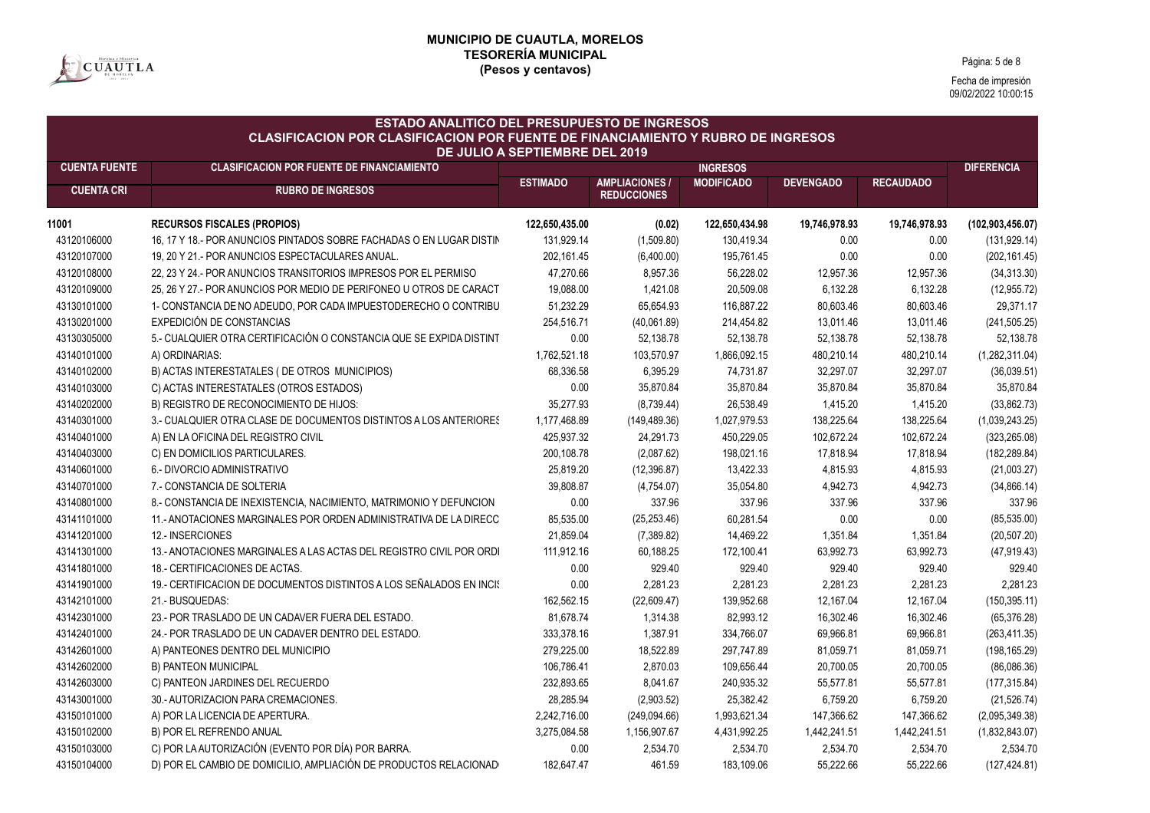

Página: 5 de 8

| <b>ESTADO ANALITICO DEL PRESUPUESTO DE INGRESOS</b><br><b>CLASIFICACION POR CLASIFICACION POR FUENTE DE FINANCIAMIENTO Y RUBRO DE INGRESOS</b> |                                                                      |                 |                                           |                   |                  |                  |                    |  |  |
|------------------------------------------------------------------------------------------------------------------------------------------------|----------------------------------------------------------------------|-----------------|-------------------------------------------|-------------------|------------------|------------------|--------------------|--|--|
| <b>DE JULIO A SEPTIEMBRE DEL 2019</b><br><b>CUENTA FUENTE</b><br><b>CLASIFICACION POR FUENTE DE FINANCIAMIENTO</b><br><b>INGRESOS</b>          |                                                                      |                 |                                           |                   |                  |                  |                    |  |  |
| <b>CUENTA CRI</b>                                                                                                                              | <b>RUBRO DE INGRESOS</b>                                             | <b>ESTIMADO</b> | <b>AMPLIACIONES</b><br><b>REDUCCIONES</b> | <b>MODIFICADO</b> | <b>DEVENGADO</b> | <b>RECAUDADO</b> | <b>DIFERENCIA</b>  |  |  |
| 11001                                                                                                                                          | <b>RECURSOS FISCALES (PROPIOS)</b>                                   | 122,650,435.00  | (0.02)                                    | 122,650,434.98    | 19,746,978.93    | 19,746,978.93    | (102, 903, 456.07) |  |  |
| 43120106000                                                                                                                                    | 16, 17 Y 18.- POR ANUNCIOS PINTADOS SOBRE FACHADAS O EN LUGAR DISTIN | 131,929.14      | (1,509.80)                                | 130,419.34        | 0.00             | 0.00             | (131, 929.14)      |  |  |
| 43120107000                                                                                                                                    | 19, 20 Y 21.- POR ANUNCIOS ESPECTACULARES ANUAL.                     | 202,161.45      | (6,400.00)                                | 195,761.45        | 0.00             | 0.00             | (202, 161.45)      |  |  |
| 43120108000                                                                                                                                    | 22, 23 Y 24.- POR ANUNCIOS TRANSITORIOS IMPRESOS POR EL PERMISO      | 47,270.66       | 8,957.36                                  | 56,228.02         | 12,957.36        | 12,957.36        | (34, 313.30)       |  |  |
| 43120109000                                                                                                                                    | 25, 26 Y 27 - POR ANUNCIOS POR MEDIO DE PERIFONEO U OTROS DE CARACT  | 19,088.00       | 1,421.08                                  | 20,509.08         | 6,132.28         | 6,132.28         | (12, 955.72)       |  |  |
| 43130101000                                                                                                                                    | 1- CONSTANCIA DE NO ADEUDO, POR CADA IMPUESTODERECHO O CONTRIBU      | 51,232.29       | 65,654.93                                 | 116,887.22        | 80,603.46        | 80,603.46        | 29,371.17          |  |  |
| 43130201000                                                                                                                                    | EXPEDICIÓN DE CONSTANCIAS                                            | 254,516.71      | (40,061.89)                               | 214,454.82        | 13,011.46        | 13,011.46        | (241, 505.25)      |  |  |
| 43130305000                                                                                                                                    | 5.- CUALQUIER OTRA CERTIFICACIÓN O CONSTANCIA QUE SE EXPIDA DISTINT  | 0.00            | 52,138.78                                 | 52,138.78         | 52,138.78        | 52,138.78        | 52,138.78          |  |  |
| 43140101000                                                                                                                                    | A) ORDINARIAS:                                                       | 1,762,521.18    | 103,570.97                                | 1,866,092.15      | 480,210.14       | 480,210.14       | (1,282,311.04)     |  |  |
| 43140102000                                                                                                                                    | B) ACTAS INTERESTATALES (DE OTROS MUNICIPIOS)                        | 68,336.58       | 6,395.29                                  | 74,731.87         | 32,297.07        | 32,297.07        | (36,039.51)        |  |  |
| 43140103000                                                                                                                                    | C) ACTAS INTERESTATALES (OTROS ESTADOS)                              | 0.00            | 35,870.84                                 | 35,870.84         | 35,870.84        | 35,870.84        | 35,870.84          |  |  |
| 43140202000                                                                                                                                    | B) REGISTRO DE RECONOCIMIENTO DE HIJOS:                              | 35,277.93       | (8,739.44)                                | 26,538.49         | 1,415.20         | 1,415.20         | (33,862.73)        |  |  |
| 43140301000                                                                                                                                    | 3.- CUALQUIER OTRA CLASE DE DOCUMENTOS DISTINTOS A LOS ANTERIORES    | 1,177,468.89    | (149, 489.36)                             | 1,027,979.53      | 138,225.64       | 138,225.64       | (1,039,243.25)     |  |  |
| 43140401000                                                                                                                                    | A) EN LA OFICINA DEL REGISTRO CIVIL                                  | 425,937.32      | 24,291.73                                 | 450,229.05        | 102,672.24       | 102,672.24       | (323, 265.08)      |  |  |
| 43140403000                                                                                                                                    | C) EN DOMICILIOS PARTICULARES.                                       | 200,108.78      | (2,087.62)                                | 198,021.16        | 17,818.94        | 17,818.94        | (182, 289.84)      |  |  |
| 43140601000                                                                                                                                    | 6.- DIVORCIO ADMINISTRATIVO                                          | 25,819.20       | (12, 396.87)                              | 13,422.33         | 4,815.93         | 4,815.93         | (21,003.27)        |  |  |
| 43140701000                                                                                                                                    | 7.- CONSTANCIA DE SOLTERIA                                           | 39,808.87       | (4,754.07)                                | 35,054.80         | 4,942.73         | 4,942.73         | (34, 866.14)       |  |  |
| 43140801000                                                                                                                                    | 8.- CONSTANCIA DE INEXISTENCIA, NACIMIENTO, MATRIMONIO Y DEFUNCION   | 0.00            | 337.96                                    | 337.96            | 337.96           | 337.96           | 337.96             |  |  |
| 43141101000                                                                                                                                    | 11.- ANOTACIONES MARGINALES POR ORDEN ADMINISTRATIVA DE LA DIRECC    | 85,535.00       | (25, 253.46)                              | 60,281.54         | 0.00             | 0.00             | (85, 535.00)       |  |  |
| 43141201000                                                                                                                                    | 12.- INSERCIONES                                                     | 21,859.04       | (7,389.82)                                | 14,469.22         | 1,351.84         | 1,351.84         | (20, 507.20)       |  |  |
| 43141301000                                                                                                                                    | 13.- ANOTACIONES MARGINALES A LAS ACTAS DEL REGISTRO CIVIL POR ORDI  | 111.912.16      | 60,188.25                                 | 172,100.41        | 63,992.73        | 63,992.73        | (47, 919.43)       |  |  |
| 43141801000                                                                                                                                    | 18.- CERTIFICACIONES DE ACTAS.                                       | 0.00            | 929.40                                    | 929.40            | 929.40           | 929.40           | 929.40             |  |  |
| 43141901000                                                                                                                                    | 19.- CERTIFICACION DE DOCUMENTOS DISTINTOS A LOS SEÑALADOS EN INCIS  | 0.00            | 2,281.23                                  | 2,281.23          | 2,281.23         | 2,281.23         | 2,281.23           |  |  |
| 43142101000                                                                                                                                    | 21.- BUSQUEDAS:                                                      | 162,562.15      | (22,609.47)                               | 139,952.68        | 12,167.04        | 12,167.04        | (150, 395.11)      |  |  |
| 43142301000                                                                                                                                    | 23.- POR TRASLADO DE UN CADAVER FUERA DEL ESTADO.                    | 81,678.74       | 1,314.38                                  | 82,993.12         | 16,302.46        | 16,302.46        | (65, 376.28)       |  |  |
| 43142401000                                                                                                                                    | 24.- POR TRASLADO DE UN CADAVER DENTRO DEL ESTADO.                   | 333,378.16      | 1,387.91                                  | 334,766.07        | 69,966.81        | 69,966.81        | (263, 411.35)      |  |  |
| 43142601000                                                                                                                                    | A) PANTEONES DENTRO DEL MUNICIPIO                                    | 279,225.00      | 18,522.89                                 | 297,747.89        | 81,059.71        | 81,059.71        | (198, 165.29)      |  |  |
| 43142602000                                                                                                                                    | B) PANTEON MUNICIPAL                                                 | 106,786.41      | 2,870.03                                  | 109,656.44        | 20,700.05        | 20,700.05        | (86,086.36)        |  |  |
| 43142603000                                                                                                                                    | C) PANTEON JARDINES DEL RECUERDO                                     | 232,893.65      | 8,041.67                                  | 240,935.32        | 55,577.81        | 55,577.81        | (177, 315.84)      |  |  |
| 43143001000                                                                                                                                    | 30.- AUTORIZACION PARA CREMACIONES.                                  | 28,285.94       | (2,903.52)                                | 25,382.42         | 6,759.20         | 6,759.20         | (21, 526.74)       |  |  |
| 43150101000                                                                                                                                    | A) POR LA LICENCIA DE APERTURA.                                      | 2,242,716.00    | (249,094.66)                              | 1,993,621.34      | 147,366.62       | 147,366.62       | (2,095,349.38)     |  |  |
| 43150102000                                                                                                                                    | B) POR EL REFRENDO ANUAL                                             | 3,275,084.58    | 1,156,907.67                              | 4,431,992.25      | 1,442,241.51     | 1,442,241.51     | (1,832,843.07)     |  |  |
| 43150103000                                                                                                                                    | C) POR LA AUTORIZACIÓN (EVENTO POR DÍA) POR BARRA.                   | 0.00            | 2,534.70                                  | 2,534.70          | 2,534.70         | 2,534.70         | 2,534.70           |  |  |
| 43150104000                                                                                                                                    | D) POR EL CAMBIO DE DOMICILIO, AMPLIACIÓN DE PRODUCTOS RELACIONAD    | 182,647.47      | 461.59                                    | 183,109.06        | 55,222.66        | 55,222.66        | (127, 424.81)      |  |  |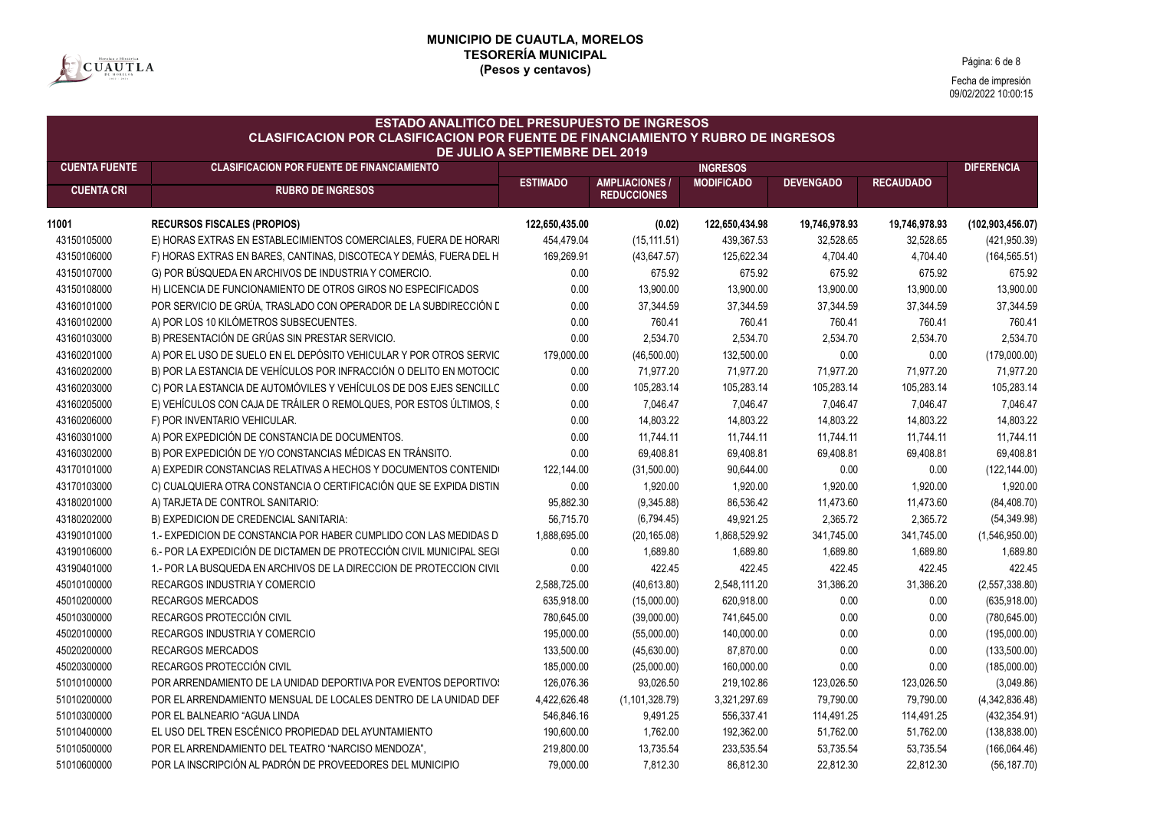

Página: 6 de 8

| <b>ESTADO ANALITICO DEL PRESUPUESTO DE INGRESOS</b><br><b>CLASIFICACION POR CLASIFICACION POR FUENTE DE FINANCIAMIENTO Y RUBRO DE INGRESOS</b><br>DE JULIO A SEPTIEMBRE DEL 2019 |                                                                      |                 |                                             |                   |                  |                  |                    |  |  |
|----------------------------------------------------------------------------------------------------------------------------------------------------------------------------------|----------------------------------------------------------------------|-----------------|---------------------------------------------|-------------------|------------------|------------------|--------------------|--|--|
| <b>CUENTA FUENTE</b>                                                                                                                                                             | <b>CLASIFICACION POR FUENTE DE FINANCIAMIENTO</b>                    |                 |                                             | <b>INGRESOS</b>   |                  |                  | <b>DIFERENCIA</b>  |  |  |
| <b>CUENTA CRI</b>                                                                                                                                                                | <b>RUBRO DE INGRESOS</b>                                             | <b>ESTIMADO</b> | <b>AMPLIACIONES /</b><br><b>REDUCCIONES</b> | <b>MODIFICADO</b> | <b>DEVENGADO</b> | <b>RECAUDADO</b> |                    |  |  |
| 11001                                                                                                                                                                            | <b>RECURSOS FISCALES (PROPIOS)</b>                                   | 122,650,435.00  | (0.02)                                      | 122,650,434.98    | 19,746,978.93    | 19,746,978.93    | (102, 903, 456.07) |  |  |
| 43150105000                                                                                                                                                                      | E) HORAS EXTRAS EN ESTABLECIMIENTOS COMERCIALES, FUERA DE HORARI     | 454,479.04      | (15, 111.51)                                | 439,367.53        | 32,528.65        | 32,528.65        | (421, 950.39)      |  |  |
| 43150106000                                                                                                                                                                      | F) HORAS EXTRAS EN BARES, CANTINAS, DISCOTECA Y DEMÁS, FUERA DEL H   | 169,269.91      | (43, 647.57)                                | 125,622.34        | 4,704.40         | 4,704.40         | (164, 565.51)      |  |  |
| 43150107000                                                                                                                                                                      | G) POR BÚSQUEDA EN ARCHIVOS DE INDUSTRIA Y COMERCIO.                 | 0.00            | 675.92                                      | 675.92            | 675.92           | 675.92           | 675.92             |  |  |
| 43150108000                                                                                                                                                                      | H) LICENCIA DE FUNCIONAMIENTO DE OTROS GIROS NO ESPECIFICADOS        | 0.00            | 13,900.00                                   | 13,900.00         | 13,900.00        | 13,900.00        | 13,900.00          |  |  |
| 43160101000                                                                                                                                                                      | POR SERVICIO DE GRÚA, TRASLADO CON OPERADOR DE LA SUBDIRECCIÓN L     | 0.00            | 37,344.59                                   | 37,344.59         | 37,344.59        | 37,344.59        | 37,344.59          |  |  |
| 43160102000                                                                                                                                                                      | A) POR LOS 10 KILÓMETROS SUBSECUENTES.                               | 0.00            | 760.41                                      | 760.41            | 760.41           | 760.41           | 760.41             |  |  |
| 43160103000                                                                                                                                                                      | B) PRESENTACIÓN DE GRÚAS SIN PRESTAR SERVICIO.                       | 0.00            | 2,534.70                                    | 2,534.70          | 2,534.70         | 2,534.70         | 2,534.70           |  |  |
| 43160201000                                                                                                                                                                      | A) POR EL USO DE SUELO EN EL DEPÓSITO VEHICULAR Y POR OTROS SERVIC   | 179,000.00      | (46,500.00)                                 | 132,500.00        | 0.00             | 0.00             | (179,000.00)       |  |  |
| 43160202000                                                                                                                                                                      | B) POR LA ESTANCIA DE VEHÍCULOS POR INFRACCIÓN O DELITO EN MOTOCIC   | 0.00            | 71,977.20                                   | 71,977.20         | 71,977.20        | 71,977.20        | 71,977.20          |  |  |
| 43160203000                                                                                                                                                                      | C) POR LA ESTANCIA DE AUTOMÓVILES Y VEHÍCULOS DE DOS EJES SENCILLO   | 0.00            | 105,283.14                                  | 105,283.14        | 105,283.14       | 105,283.14       | 105,283.14         |  |  |
| 43160205000                                                                                                                                                                      | E) VEHÍCULOS CON CAJA DE TRÁILER O REMOLQUES, POR ESTOS ÚLTIMOS, S   | 0.00            | 7,046.47                                    | 7,046.47          | 7,046.47         | 7,046.47         | 7,046.47           |  |  |
| 43160206000                                                                                                                                                                      | F) POR INVENTARIO VEHICULAR.                                         | 0.00            | 14,803.22                                   | 14,803.22         | 14,803.22        | 14,803.22        | 14,803.22          |  |  |
| 43160301000                                                                                                                                                                      | A) POR EXPEDICIÓN DE CONSTANCIA DE DOCUMENTOS.                       | 0.00            | 11,744.11                                   | 11,744.11         | 11,744.11        | 11,744.11        | 11,744.11          |  |  |
| 43160302000                                                                                                                                                                      | B) POR EXPEDICIÓN DE Y/O CONSTANCIAS MÉDICAS EN TRÁNSITO.            | 0.00            | 69,408.81                                   | 69,408.81         | 69,408.81        | 69,408.81        | 69,408.81          |  |  |
| 43170101000                                                                                                                                                                      | A) EXPEDIR CONSTANCIAS RELATIVAS A HECHOS Y DOCUMENTOS CONTENIDE     | 122,144.00      | (31,500.00)                                 | 90,644.00         | 0.00             | 0.00             | (122, 144.00)      |  |  |
| 43170103000                                                                                                                                                                      | C) CUALQUIERA OTRA CONSTANCIA O CERTIFICACIÓN QUE SE EXPIDA DISTIN   | 0.00            | 1,920.00                                    | 1,920.00          | 1,920.00         | 1,920.00         | 1,920.00           |  |  |
| 43180201000                                                                                                                                                                      | A) TARJETA DE CONTROL SANITARIO:                                     | 95,882.30       | (9,345.88)                                  | 86,536.42         | 11,473.60        | 11,473.60        | (84, 408.70)       |  |  |
| 43180202000                                                                                                                                                                      | B) EXPEDICION DE CREDENCIAL SANITARIA:                               | 56,715.70       | (6,794.45)                                  | 49,921.25         | 2,365.72         | 2,365.72         | (54, 349.98)       |  |  |
| 43190101000                                                                                                                                                                      | 1.- EXPEDICION DE CONSTANCIA POR HABER CUMPLIDO CON LAS MEDIDAS D    | 1,888,695.00    | (20, 165.08)                                | 1,868,529.92      | 341,745.00       | 341,745.00       | (1,546,950.00)     |  |  |
| 43190106000                                                                                                                                                                      | 6.- POR LA EXPEDICIÓN DE DICTAMEN DE PROTECCIÓN CIVIL MUNICIPAL SEGI | 0.00            | 1,689.80                                    | 1,689.80          | 1,689.80         | 1,689.80         | 1,689.80           |  |  |
| 43190401000                                                                                                                                                                      | 1.- POR LA BUSQUEDA EN ARCHIVOS DE LA DIRECCION DE PROTECCION CIVIL  | 0.00            | 422.45                                      | 422.45            | 422.45           | 422.45           | 422.45             |  |  |
| 45010100000                                                                                                                                                                      | RECARGOS INDUSTRIA Y COMERCIO                                        | 2,588,725.00    | (40, 613.80)                                | 2,548,111.20      | 31,386.20        | 31,386.20        | (2,557,338.80)     |  |  |
| 45010200000                                                                                                                                                                      | <b>RECARGOS MERCADOS</b>                                             | 635,918.00      | (15,000.00)                                 | 620,918.00        | 0.00             | 0.00             | (635,918.00)       |  |  |
| 45010300000                                                                                                                                                                      | RECARGOS PROTECCIÓN CIVIL                                            | 780,645.00      | (39,000.00)                                 | 741,645.00        | 0.00             | 0.00             | (780, 645.00)      |  |  |
| 45020100000                                                                                                                                                                      | <b>RECARGOS INDUSTRIA Y COMERCIO</b>                                 | 195,000.00      | (55,000.00)                                 | 140,000.00        | 0.00             | 0.00             | (195,000.00)       |  |  |
| 45020200000                                                                                                                                                                      | <b>RECARGOS MERCADOS</b>                                             | 133,500.00      | (45, 630.00)                                | 87,870.00         | 0.00             | 0.00             | (133,500.00)       |  |  |
| 45020300000                                                                                                                                                                      | RECARGOS PROTECCIÓN CIVIL                                            | 185,000.00      | (25,000.00)                                 | 160,000.00        | 0.00             | 0.00             | (185,000.00)       |  |  |
| 51010100000                                                                                                                                                                      | POR ARRENDAMIENTO DE LA UNIDAD DEPORTIVA POR EVENTOS DEPORTIVO:      | 126,076.36      | 93,026.50                                   | 219,102.86        | 123,026.50       | 123,026.50       | (3,049.86)         |  |  |
| 51010200000                                                                                                                                                                      | POR EL ARRENDAMIENTO MENSUAL DE LOCALES DENTRO DE LA UNIDAD DEF      | 4,422,626.48    | (1, 101, 328.79)                            | 3,321,297.69      | 79,790.00        | 79,790.00        | (4,342,836.48)     |  |  |
| 51010300000                                                                                                                                                                      | POR EL BALNEARIO "AGUA LINDA                                         | 546,846.16      | 9,491.25                                    | 556,337.41        | 114,491.25       | 114,491.25       | (432, 354.91)      |  |  |
| 51010400000                                                                                                                                                                      | EL USO DEL TREN ESCÉNICO PROPIEDAD DEL AYUNTAMIENTO                  | 190,600.00      | 1,762.00                                    | 192,362.00        | 51,762.00        | 51,762.00        | (138, 838.00)      |  |  |
| 51010500000                                                                                                                                                                      | POR EL ARRENDAMIENTO DEL TEATRO "NARCISO MENDOZA",                   | 219,800.00      | 13,735.54                                   | 233,535.54        | 53,735.54        | 53,735.54        | (166,064.46)       |  |  |
| 51010600000                                                                                                                                                                      | POR LA INSCRIPCIÓN AL PADRÓN DE PROVEEDORES DEL MUNICIPIO            | 79,000.00       | 7,812.30                                    | 86,812.30         | 22,812.30        | 22,812.30        | (56, 187.70)       |  |  |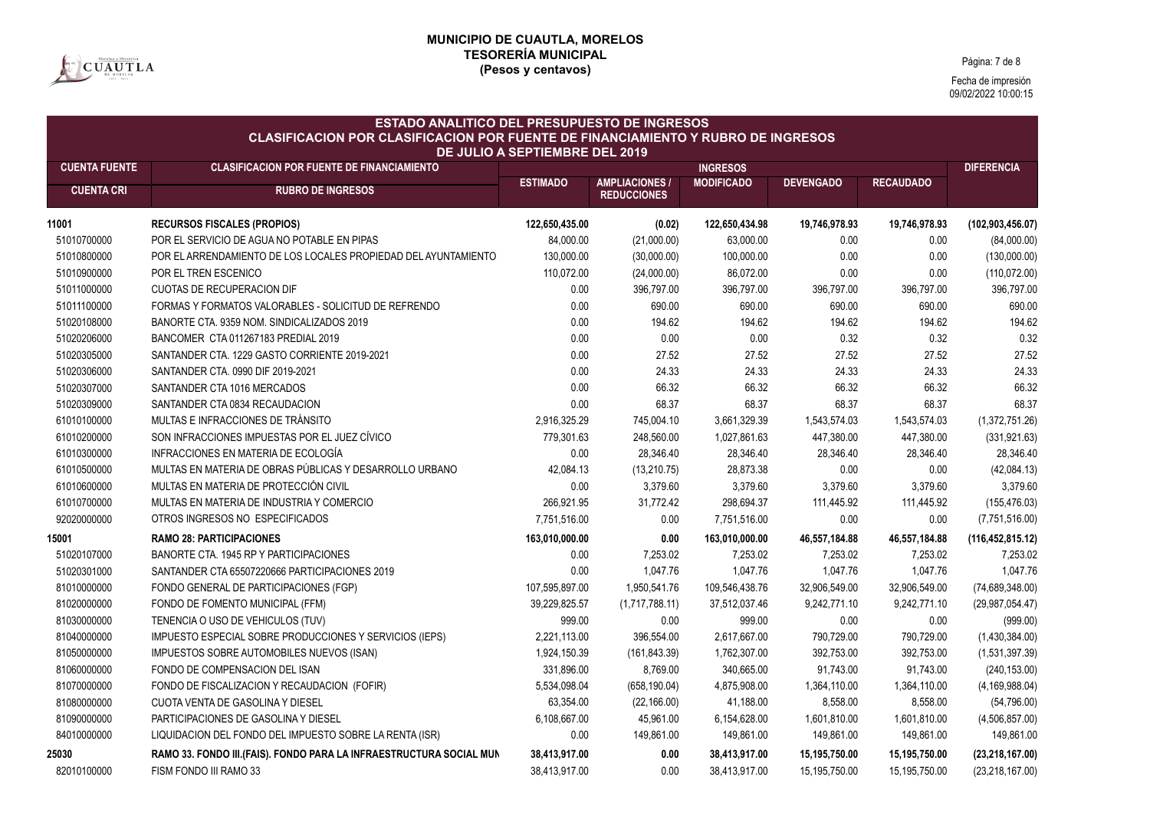

Página: 7 de 8

| <b>ESTADO ANALITICO DEL PRESUPUESTO DE INGRESOS</b><br><b>CLASIFICACION POR CLASIFICACION POR FUENTE DE FINANCIAMIENTO Y RUBRO DE INGRESOS</b><br><b>DE JULIO A SEPTIEMBRE DEL 2019</b> |                                                                      |                 |                                             |                   |                  |                  |                    |  |
|-----------------------------------------------------------------------------------------------------------------------------------------------------------------------------------------|----------------------------------------------------------------------|-----------------|---------------------------------------------|-------------------|------------------|------------------|--------------------|--|
| <b>CUENTA FUENTE</b>                                                                                                                                                                    | <b>CLASIFICACION POR FUENTE DE FINANCIAMIENTO</b>                    |                 |                                             | <b>INGRESOS</b>   |                  |                  | <b>DIFERENCIA</b>  |  |
| <b>CUENTA CRI</b>                                                                                                                                                                       | <b>RUBRO DE INGRESOS</b>                                             | <b>ESTIMADO</b> | <b>AMPLIACIONES /</b><br><b>REDUCCIONES</b> | <b>MODIFICADO</b> | <b>DEVENGADO</b> | <b>RECAUDADO</b> |                    |  |
| 11001                                                                                                                                                                                   | <b>RECURSOS FISCALES (PROPIOS)</b>                                   | 122,650,435.00  | (0.02)                                      | 122,650,434.98    | 19,746,978.93    | 19,746,978.93    | (102, 903, 456.07) |  |
| 51010700000                                                                                                                                                                             | POR EL SERVICIO DE AGUA NO POTABLE EN PIPAS                          | 84,000.00       | (21,000.00)                                 | 63,000.00         | 0.00             | 0.00             | (84,000.00)        |  |
| 51010800000                                                                                                                                                                             | POR EL ARRENDAMIENTO DE LOS LOCALES PROPIEDAD DEL AYUNTAMIENTO       | 130,000.00      | (30,000.00)                                 | 100,000.00        | 0.00             | 0.00             | (130,000.00)       |  |
| 51010900000                                                                                                                                                                             | POR EL TREN ESCENICO                                                 | 110,072.00      | (24,000.00)                                 | 86,072.00         | 0.00             | 0.00             | (110, 072.00)      |  |
| 51011000000                                                                                                                                                                             | <b>CUOTAS DE RECUPERACION DIF</b>                                    | 0.00            | 396,797.00                                  | 396,797.00        | 396,797.00       | 396,797.00       | 396,797.00         |  |
| 51011100000                                                                                                                                                                             | FORMAS Y FORMATOS VALORABLES - SOLICITUD DE REFRENDO                 | 0.00            | 690.00                                      | 690.00            | 690.00           | 690.00           | 690.00             |  |
| 51020108000                                                                                                                                                                             | BANORTE CTA. 9359 NOM. SINDICALIZADOS 2019                           | 0.00            | 194.62                                      | 194.62            | 194.62           | 194.62           | 194.62             |  |
| 51020206000                                                                                                                                                                             | BANCOMER CTA 011267183 PREDIAL 2019                                  | 0.00            | 0.00                                        | 0.00              | 0.32             | 0.32             | 0.32               |  |
| 51020305000                                                                                                                                                                             | SANTANDER CTA. 1229 GASTO CORRIENTE 2019-2021                        | 0.00            | 27.52                                       | 27.52             | 27.52            | 27.52            | 27.52              |  |
| 51020306000                                                                                                                                                                             | SANTANDER CTA, 0990 DIF 2019-2021                                    | 0.00            | 24.33                                       | 24.33             | 24.33            | 24.33            | 24.33              |  |
| 51020307000                                                                                                                                                                             | SANTANDER CTA 1016 MERCADOS                                          | 0.00            | 66.32                                       | 66.32             | 66.32            | 66.32            | 66.32              |  |
| 51020309000                                                                                                                                                                             | SANTANDER CTA 0834 RECAUDACION                                       | 0.00            | 68.37                                       | 68.37             | 68.37            | 68.37            | 68.37              |  |
| 61010100000                                                                                                                                                                             | MULTAS E INFRACCIONES DE TRÁNSITO                                    | 2,916,325.29    | 745,004.10                                  | 3,661,329.39      | 1,543,574.03     | 1,543,574.03     | (1,372,751.26)     |  |
| 61010200000                                                                                                                                                                             | SON INFRACCIONES IMPUESTAS POR EL JUEZ CÍVICO                        | 779,301.63      | 248,560.00                                  | 1,027,861.63      | 447,380.00       | 447,380.00       | (331, 921.63)      |  |
| 61010300000                                                                                                                                                                             | INFRACCIONES EN MATERIA DE ECOLOGÍA                                  | 0.00            | 28,346.40                                   | 28,346.40         | 28,346.40        | 28,346.40        | 28,346.40          |  |
| 61010500000                                                                                                                                                                             | MULTAS EN MATERIA DE OBRAS PÚBLICAS Y DESARROLLO URBANO              | 42,084.13       | (13, 210.75)                                | 28,873.38         | 0.00             | 0.00             | (42,084.13)        |  |
| 61010600000                                                                                                                                                                             | MULTAS EN MATERIA DE PROTECCIÓN CIVIL                                | 0.00            | 3,379.60                                    | 3,379.60          | 3,379.60         | 3,379.60         | 3,379.60           |  |
| 61010700000                                                                                                                                                                             | MULTAS EN MATERIA DE INDUSTRIA Y COMERCIO                            | 266,921.95      | 31,772.42                                   | 298,694.37        | 111,445.92       | 111,445.92       | (155, 476.03)      |  |
| 92020000000                                                                                                                                                                             | OTROS INGRESOS NO ESPECIFICADOS                                      | 7,751,516.00    | 0.00                                        | 7,751,516.00      | 0.00             | 0.00             | (7,751,516.00)     |  |
| 15001                                                                                                                                                                                   | <b>RAMO 28: PARTICIPACIONES</b>                                      | 163,010,000.00  | 0.00                                        | 163,010,000.00    | 46,557,184.88    | 46,557,184.88    | (116, 452, 815.12) |  |
| 51020107000                                                                                                                                                                             | BANORTE CTA. 1945 RP Y PARTICIPACIONES                               | 0.00            | 7,253.02                                    | 7,253.02          | 7,253.02         | 7,253.02         | 7,253.02           |  |
| 51020301000                                                                                                                                                                             | SANTANDER CTA 65507220666 PARTICIPACIONES 2019                       | 0.00            | 1,047.76                                    | 1,047.76          | 1,047.76         | 1,047.76         | 1,047.76           |  |
| 81010000000                                                                                                                                                                             | FONDO GENERAL DE PARTICIPACIONES (FGP)                               | 107,595,897.00  | 1,950,541.76                                | 109,546,438.76    | 32,906,549.00    | 32,906,549.00    | (74,689,348.00)    |  |
| 81020000000                                                                                                                                                                             | FONDO DE FOMENTO MUNICIPAL (FFM)                                     | 39,229,825.57   | (1,717,788.11)                              | 37,512,037.46     | 9,242,771.10     | 9,242,771.10     | (29,987,054.47)    |  |
| 81030000000                                                                                                                                                                             | TENENCIA O USO DE VEHICULOS (TUV)                                    | 999.00          | 0.00                                        | 999.00            | 0.00             | 0.00             | (999.00)           |  |
| 81040000000                                                                                                                                                                             | IMPUESTO ESPECIAL SOBRE PRODUCCIONES Y SERVICIOS (IEPS)              | 2,221,113.00    | 396,554.00                                  | 2,617,667.00      | 790,729.00       | 790,729.00       | (1,430,384.00)     |  |
| 81050000000                                                                                                                                                                             | IMPUESTOS SOBRE AUTOMOBILES NUEVOS (ISAN)                            | 1,924,150.39    | (161, 843.39)                               | 1,762,307.00      | 392,753.00       | 392,753.00       | (1,531,397.39)     |  |
| 81060000000                                                                                                                                                                             | FONDO DE COMPENSACION DEL ISAN                                       | 331,896.00      | 8,769.00                                    | 340,665.00        | 91,743.00        | 91,743.00        | (240, 153.00)      |  |
| 81070000000                                                                                                                                                                             | FONDO DE FISCALIZACION Y RECAUDACION (FOFIR)                         | 5,534,098.04    | (658, 190.04)                               | 4,875,908.00      | 1,364,110.00     | 1,364,110.00     | (4, 169, 988.04)   |  |
| 81080000000                                                                                                                                                                             | <b>CUOTA VENTA DE GASOLINA Y DIESEL</b>                              | 63,354.00       | (22, 166.00)                                | 41,188.00         | 8,558.00         | 8,558.00         | (54, 796.00)       |  |
| 81090000000                                                                                                                                                                             | PARTICIPACIONES DE GASOLINA Y DIESEL                                 | 6,108,667.00    | 45,961.00                                   | 6,154,628.00      | 1,601,810.00     | 1,601,810.00     | (4,506,857.00)     |  |
| 84010000000                                                                                                                                                                             | LIQUIDACION DEL FONDO DEL IMPUESTO SOBRE LA RENTA (ISR)              | 0.00            | 149,861.00                                  | 149,861.00        | 149,861.00       | 149,861.00       | 149,861.00         |  |
| 25030                                                                                                                                                                                   | RAMO 33. FONDO III. (FAIS). FONDO PARA LA INFRAESTRUCTURA SOCIAL MUN | 38,413,917.00   | 0.00                                        | 38,413,917.00     | 15,195,750.00    | 15,195,750.00    | (23, 218, 167.00)  |  |
| 82010100000                                                                                                                                                                             | FISM FONDO III RAMO 33                                               | 38,413,917.00   | 0.00                                        | 38,413,917.00     | 15,195,750.00    | 15,195,750.00    | (23, 218, 167.00)  |  |